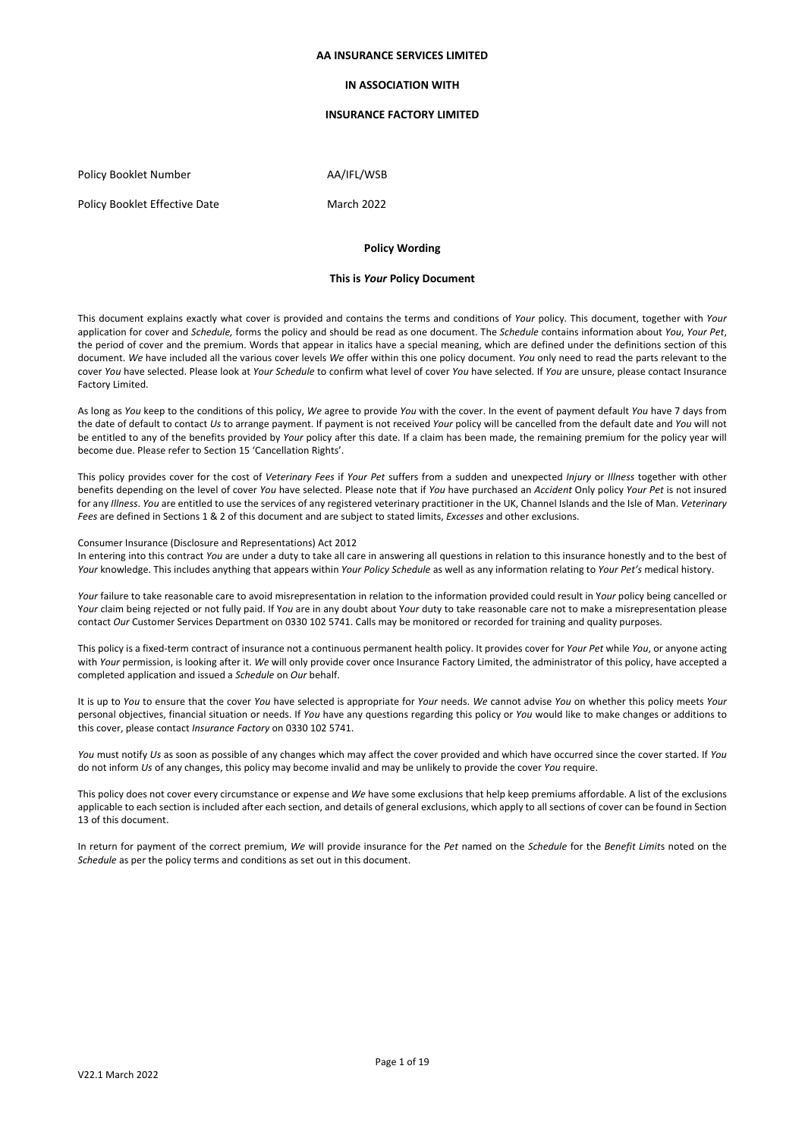### **AA INSURANCE SERVICES LIMITED**

## **IN ASSOCIATION WITH**

## **INSURANCE FACTORY LIMITED**

Policy Booklet Number AA/IFL/WSB

Policy Booklet Effective Date March 2022

# **Policy Wording**

### **This is** *Your* **Policy Document**

This document explains exactly what cover is provided and contains the terms and conditions of *Your* policy. This document, together with *Your* application for cover and *Schedule,* forms the policy and should be read as one document. The *Schedule* contains information about *You*, *Your Pet*, the period of cover and the premium. Words that appear in italics have a special meaning, which are defined under the definitions section of this document. *We* have included all the various cover levels *We* offer within this one policy document. *You* only need to read the parts relevant to the cover *You* have selected. Please look at *Your Schedule* to confirm what level of cover *You* have selected. If *You* are unsure, please contact Insurance Factory Limited.

As long as *You* keep to the conditions of this policy, *We* agree to provide *You* with the cover. In the event of payment default *You* have 7 days from the date of default to contact *Us* to arrange payment. If payment is not received *Your* policy will be cancelled from the default date and *You* will not be entitled to any of the benefits provided by *Your* policy after this date. If a claim has been made, the remaining premium for the policy year will become due. Please refer to Section 15 'Cancellation Rights'.

This policy provides cover for the cost of *Veterinary Fees* if *Your Pet* suffers from a sudden and unexpected *Injury* or *Illness* together with other benefits depending on the level of cover *You* have selected. Please note that if *You* have purchased an *Accident* Only policy *Your Pet* is not insured for any *Illness*. *You* are entitled to use the services of any registered veterinary practitioner in the UK, Channel Islands and the Isle of Man. *Veterinary Fees* are defined in Sections 1 & 2 of this document and are subject to stated limits, *Excesses* and other exclusions.

### Consumer Insurance (Disclosure and Representations) Act 2012 In entering into this contract *You* are under a duty to take all care in answering all questions in relation to this insurance honestly and to the best of *Your* knowledge. This includes anything that appears within *Your Policy Schedule* as well as any information relating to *Your Pet's* medical history.

contact *Our* Customer Services Department on 0330 102 5741. Calls may be monitored or recorded for training and quality purposes.

*Your* failure to take reasonable care to avoid misrepresentation in relation to the information provided could result in Y*our* policy being cancelled or Y*our* claim being rejected or not fully paid. If Y*ou* are in any doubt about Y*our* duty to take reasonable care not to make a misrepresentation please

This policy is a fixed-term contract of insurance not a continuous permanent health policy. It provides cover for *Your Pet* while *You*, or anyone acting with *Your* permission, is looking after it. *We* will only provide cover once Insurance Factory Limited, the administrator of this policy, have accepted a completed application and issued a *Schedule* on *Our* behalf.

It is up to *You* to ensure that the cover *You* have selected is appropriate for *Your* needs. *We* cannot advise *You* on whether this policy meets *Your* personal objectives, financial situation or needs. If *You* have any questions regarding this policy or *You* would like to make changes or additions to this cover, please contact *Insurance Factory* on 0330 102 5741.

*You* must notify *Us* as soon as possible of any changes which may affect the cover provided and which have occurred since the cover started. If *You* do not inform *Us* of any changes, this policy may become invalid and may be unlikely to provide the cover *You* require.

This policy does not cover every circumstance or expense and *We* have some exclusions that help keep premiums affordable. A list of the exclusions applicable to each section is included after each section, and details of general exclusions, which apply to all sections of cover can be found in Section 13 of this document.

In return for payment of the correct premium, *We* will provide insurance for the *Pet* named on the *Schedule* for the *Benefit Limit*s noted on the *Schedule* as per the policy terms and conditions as set out in this document.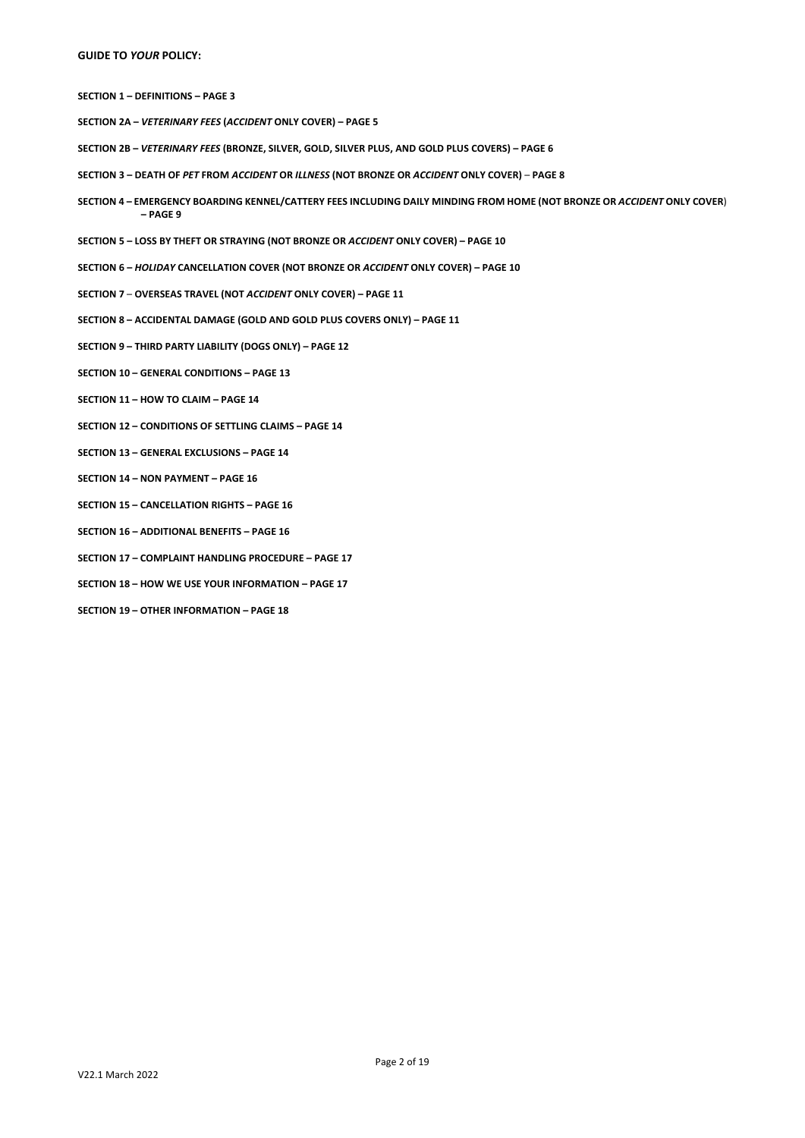# **GUIDE TO** *YOUR* **POLICY:**

**SECTION 1 – DEFINITIONS – PAGE 3**

- **SECTION 2A –** *VETERINARY FEES* **(***ACCIDENT* **ONLY COVER) – PAGE 5**
- **SECTION 2B –** *VETERINARY FEES* **(BRONZE, SILVER, GOLD, SILVER PLUS, AND GOLD PLUS COVERS) – PAGE 6**
- **SECTION 3 – DEATH OF** *PET* **FROM** *ACCIDENT* **OR** *ILLNESS* **(NOT BRONZE OR** *ACCIDENT* **ONLY COVER) PAGE 8**
- **SECTION 4 – EMERGENCY BOARDING KENNEL/CATTERY FEES INCLUDING DAILY MINDING FROM HOME (NOT BRONZE OR** *ACCIDENT* **ONLY COVER**) **– PAGE 9**
- **SECTION 5 – LOSS BY THEFT OR STRAYING (NOT BRONZE OR** *ACCIDENT* **ONLY COVER) – PAGE 10**
- **SECTION 6 –** *HOLIDAY* **CANCELLATION COVER (NOT BRONZE OR** *ACCIDENT* **ONLY COVER) – PAGE 10**
- **SECTION 7 OVERSEAS TRAVEL (NOT** *ACCIDENT* **ONLY COVER) – PAGE 11**
- **SECTION 8 – ACCIDENTAL DAMAGE (GOLD AND GOLD PLUS COVERS ONLY) – PAGE 11**
- **SECTION 9 – THIRD PARTY LIABILITY (DOGS ONLY) – PAGE 12**
- **SECTION 10 – GENERAL CONDITIONS – PAGE 13**
- **SECTION 11 – HOW TO CLAIM – PAGE 14**
- **SECTION 12 – CONDITIONS OF SETTLING CLAIMS – PAGE 14**
- **SECTION 13 – GENERAL EXCLUSIONS – PAGE 14**
- **SECTION 14 – NON PAYMENT – PAGE 16**
- **SECTION 15 – CANCELLATION RIGHTS – PAGE 16**
- **SECTION 16 – ADDITIONAL BENEFITS – PAGE 16**
- **SECTION 17 – COMPLAINT HANDLING PROCEDURE – PAGE 17**
- **SECTION 18 – HOW WE USE YOUR INFORMATION – PAGE 17**
- **SECTION 19 – OTHER INFORMATION – PAGE 18**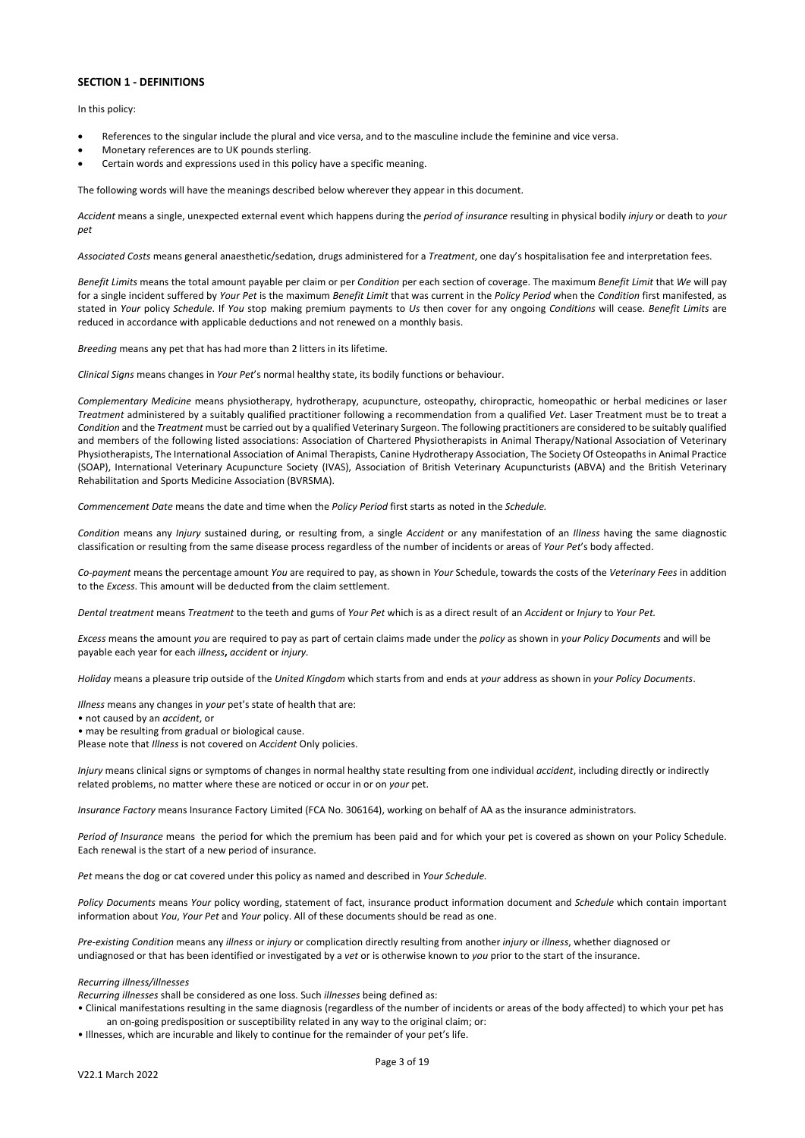# **SECTION 1 - DEFINITIONS**

In this policy:

- References to the singular include the plural and vice versa, and to the masculine include the feminine and vice versa.
- Monetary references are to UK pounds sterling.
- Certain words and expressions used in this policy have a specific meaning.

The following words will have the meanings described below wherever they appear in this document.

*Accident* means a single, unexpected external event which happens during the *period of insurance* resulting in physical bodily *injury* or death to *your pet* 

*Associated Costs* means general anaesthetic/sedation, drugs administered for a *Treatment*, one day's hospitalisation fee and interpretation fees.

*Benefit Limits* means the total amount payable per claim or per *Condition* per each section of coverage. The maximum *Benefit Limit* that *We* will pay for a single incident suffered by *Your Pet* is the maximum *Benefit Limit* that was current in the *Policy Period* when the *Condition* first manifested, as stated in *Your* policy *Schedule*. If *You* stop making premium payments to *Us* then cover for any ongoing *Conditions* will cease. *Benefit Limits* are reduced in accordance with applicable deductions and not renewed on a monthly basis.

*Breeding* means any pet that has had more than 2 litters in its lifetime.

*Clinical Signs* means changes in *Your Pet*'s normal healthy state, its bodily functions or behaviour.

*Complementary Medicine* means physiotherapy, hydrotherapy, acupuncture, osteopathy, chiropractic, homeopathic or herbal medicines or laser *Treatment* administered by a suitably qualified practitioner following a recommendation from a qualified *Vet*. Laser Treatment must be to treat a *Condition* and the *Treatment* must be carried out by a qualified Veterinary Surgeon. The following practitioners are considered to be suitably qualified and members of the following listed associations: Association of Chartered Physiotherapists in Animal Therapy/National Association of Veterinary Physiotherapists, The International Association of Animal Therapists, Canine Hydrotherapy Association, The Society Of Osteopaths in Animal Practice (SOAP), International Veterinary Acupuncture Society (IVAS), Association of British Veterinary Acupuncturists (ABVA) and the British Veterinary Rehabilitation and Sports Medicine Association (BVRSMA).

*Commencement Date* means the date and time when the *Policy Period* first starts as noted in the *Schedule.*

*Condition* means any *Injury* sustained during, or resulting from, a single *Accident* or any manifestation of an *Illness* having the same diagnostic classification or resulting from the same disease process regardless of the number of incidents or areas of *Your Pet*'s body affected.

*Co-payment* means the percentage amount *You* are required to pay, as shown in *Your* Schedule, towards the costs of the *Veterinary Fees* in addition to the *Excess*. This amount will be deducted from the claim settlement.

*Dental treatment* means *Treatment* to the teeth and gums of *Your Pet* which is as a direct result of an *Accident* or *Injury* to *Your Pet.*

*Excess* means the amount *you* are required to pay as part of certain claims made under the *policy* as shown in *your Policy Documents* and will be payable each year for each *illness***,** *accident* or *injury.*

*Holiday* means a pleasure trip outside of the *United Kingdom* which starts from and ends at *your* address as shown in *your Policy Documents*.

*Illness* means any changes in *your* pet's state of health that are:

- not caused by an *accident*, or
- may be resulting from gradual or biological cause.

Please note that *Illness* is not covered on *Accident* Only policies.

*Injury* means clinical signs or symptoms of changes in normal healthy state resulting from one individual *accident*, including directly or indirectly related problems, no matter where these are noticed or occur in or on *your* pet.

*Insurance Factory* means Insurance Factory Limited (FCA No. 306164), working on behalf of AA as the insurance administrators.

*Period of Insurance* means the period for which the premium has been paid and for which your pet is covered as shown on your Policy Schedule. Each renewal is the start of a new period of insurance.

*Pet* means the dog or cat covered under this policy as named and described in *Your Schedule.*

*Policy Documents* means *Your* policy wording, statement of fact, insurance product information document and *Schedule* which contain important information about *You*, *Your Pet* and *Your* policy. All of these documents should be read as one.

*Pre-existing Condition* means any *illness* or *injury* or complication directly resulting from another *injury* or *illness*, whether diagnosed or undiagnosed or that has been identified or investigated by a *vet* or is otherwise known to *you* prior to the start of the insurance.

### *Recurring illness/illnesses*

*Recurring illnesses* shall be considered as one loss. Such *illnesses* being defined as:

• Clinical manifestations resulting in the same diagnosis (regardless of the number of incidents or areas of the body affected) to which your pet has an on-going predisposition or susceptibility related in any way to the original claim; or:

• Illnesses, which are incurable and likely to continue for the remainder of your pet's life.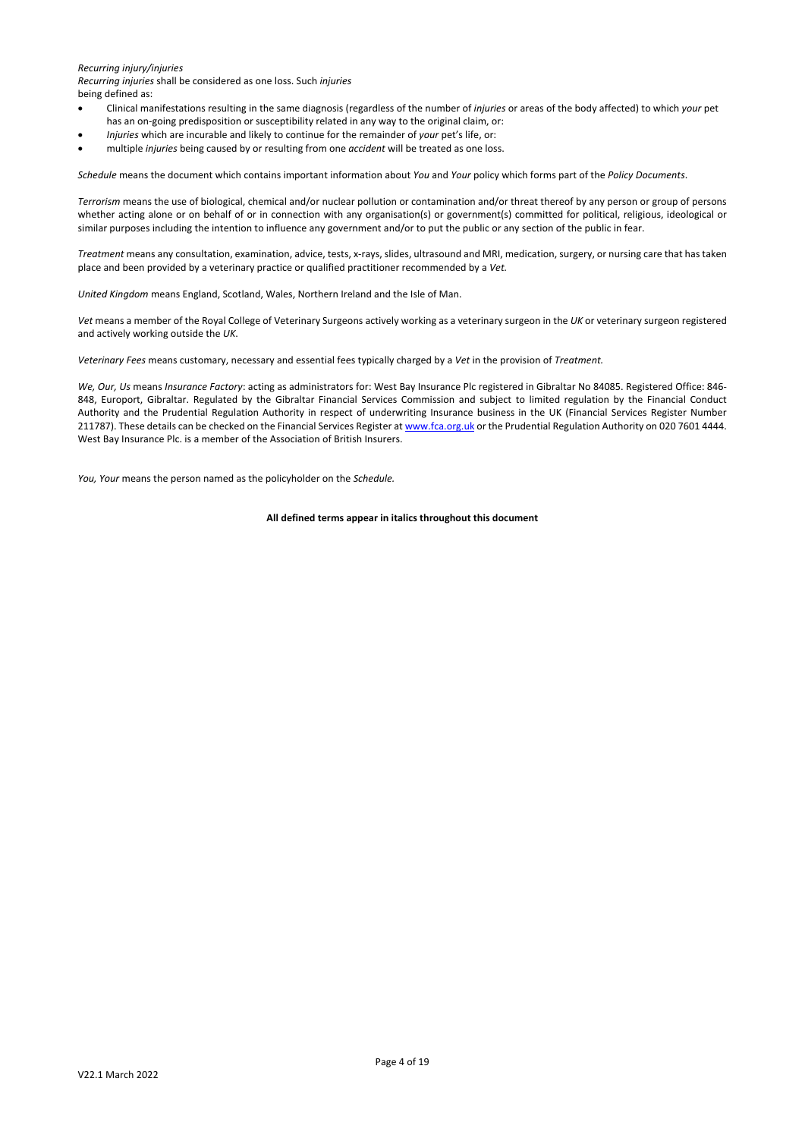### *Recurring injury/injuries*

*Recurring injuries* shall be considered as one loss. Such *injuries*

being defined as:

- Clinical manifestations resulting in the same diagnosis (regardless of the number of *injuries* or areas of the body affected) to which *your* pet has an on-going predisposition or susceptibility related in any way to the original claim, or:
- *Injuries* which are incurable and likely to continue for the remainder of *your* pet's life, or:
- multiple *injuries* being caused by or resulting from one *accident* will be treated as one loss.

*Schedule* means the document which contains important information about *You* and *Your* policy which forms part of the *Policy Documents*.

*Terrorism* means the use of biological, chemical and/or nuclear pollution or contamination and/or threat thereof by any person or group of persons whether acting alone or on behalf of or in connection with any organisation(s) or government(s) committed for political, religious, ideological or similar purposes including the intention to influence any government and/or to put the public or any section of the public in fear.

*Treatment* means any consultation, examination, advice, tests, x-rays, slides, ultrasound and MRI, medication, surgery, or nursing care that has taken place and been provided by a veterinary practice or qualified practitioner recommended by a *Vet.*

*United Kingdom* means England, Scotland, Wales, Northern Ireland and the Isle of Man.

*Vet* means a member of the Royal College of Veterinary Surgeons actively working as a veterinary surgeon in the *UK* or veterinary surgeon registered and actively working outside the *UK*.

*Veterinary Fees* means customary, necessary and essential fees typically charged by a *Vet* in the provision of *Treatment.*

*We, Our, Us* means *Insurance Factory*: acting as administrators for: West Bay Insurance Plc registered in Gibraltar No 84085. Registered Office: 846- 848, Europort, Gibraltar. Regulated by the Gibraltar Financial Services Commission and subject to limited regulation by the Financial Conduct Authority and the Prudential Regulation Authority in respect of underwriting Insurance business in the UK (Financial Services Register Number 211787). These details can be checked on the Financial Services Register a[t www.fca.org.uk](http://www.fca.org.uk/) or the Prudential Regulation Authority on 020 7601 4444. West Bay Insurance Plc. is a member of the Association of British Insurers.

*You, Your* means the person named as the policyholder on the *Schedule.*

#### **All defined terms appear in italics throughout this document**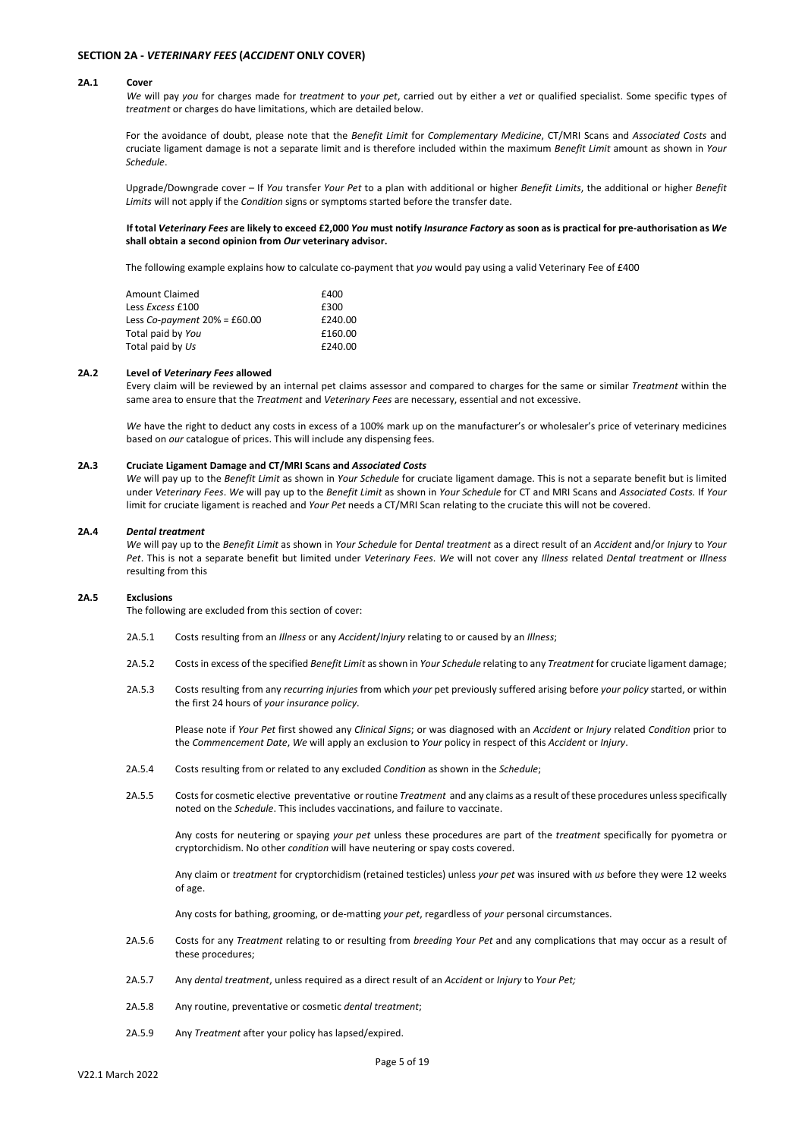### **SECTION 2A -** *VETERINARY FEES* **(***ACCIDENT* **ONLY COVER)**

#### **2A.1 Cover**

*We* will pay *you* for charges made for *treatment* to *your pet*, carried out by either a *vet* or qualified specialist. Some specific types of *treatment* or charges do have limitations, which are detailed below.

For the avoidance of doubt, please note that the *Benefit Limit* for *Complementary Medicine*, CT/MRI Scans and *Associated Costs* and cruciate ligament damage is not a separate limit and is therefore included within the maximum *Benefit Limit* amount as shown in *Your Schedule*.

Upgrade/Downgrade cover – If *You* transfer *Your Pet* to a plan with additional or higher *Benefit Limits*, the additional or higher *Benefit Limits* will not apply if the *Condition* signs or symptoms started before the transfer date.

## **If total** *Veterinary Fees* **are likely to exceed £2,000** *You* **must notify** *Insurance Factory* **as soon as is practical for pre-authorisation as** *We* **shall obtain a second opinion from** *Our* **veterinary advisor.**

The following example explains how to calculate co-payment that *you* would pay using a valid Veterinary Fee of £400

| <b>Amount Claimed</b>          | £400    |
|--------------------------------|---------|
| Less Excess £100               | £300    |
| Less Co-payment $20% = £60.00$ | £240.00 |
| Total paid by You              | £160.00 |
| Total paid by Us               | £240.00 |

#### **2A.2 Level of** *Veterinary Fees* **allowed**

Every claim will be reviewed by an internal pet claims assessor and compared to charges for the same or similar *Treatment* within the same area to ensure that the *Treatment* and *Veterinary Fees* are necessary, essential and not excessive.

*We* have the right to deduct any costs in excess of a 100% mark up on the manufacturer's or wholesaler's price of veterinary medicines based on *our* catalogue of prices. This will include any dispensing fees.

#### **2A.3 Cruciate Ligament Damage and CT/MRI Scans and** *Associated Costs*

*We* will pay up to the *Benefit Limit* as shown in *Your Schedule* for cruciate ligament damage. This is not a separate benefit but is limited under *Veterinary Fees*. *We* will pay up to the *Benefit Limit* as shown in *Your Schedule* for CT and MRI Scans and *Associated Costs.* If *Your* limit for cruciate ligament is reached and *Your Pet* needs a CT/MRI Scan relating to the cruciate this will not be covered.

#### **2A.4** *Dental treatment*

*We* will pay up to the *Benefit Limit* as shown in *Your Schedule* for *Dental treatment* as a direct result of an *Accident* and/or *Injury* to *Your Pet*. This is not a separate benefit but limited under *Veterinary Fees*. *We* will not cover any *Illness* related *Dental treatment* or *Illness* resulting from this

### **2A.5 Exclusions**

The following are excluded from this section of cover:

- 2A.5.1 Costs resulting from an *Illness* or any *Accident*/*Injury* relating to or caused by an *Illness*;
- 2A.5.2 Costs in excess of the specified *Benefit Limit* as shown in *Your Schedule* relating to any *Treatment* for cruciate ligament damage;
- 2A.5.3 Costs resulting from any *recurring injuries* from which *your* pet previously suffered arising before *your policy* started, or within the first 24 hours of *your insurance policy*.

Please note if *Your Pet* first showed any *Clinical Signs*; or was diagnosed with an *Accident* or *Injury* related *Condition* prior to the *Commencement Date*, *We* will apply an exclusion to *Your* policy in respect of this *Accident* or *Injury*.

- 2A.5.4 Costs resulting from or related to any excluded *Condition* as shown in the *Schedule*;
- 2A.5.5 Costs for cosmetic elective preventative or routine *Treatment* and any claims as a result of these procedures unless specifically noted on the *Schedule*. This includes vaccinations, and failure to vaccinate.

Any costs for neutering or spaying *your pet* unless these procedures are part of the *treatment* specifically for pyometra or cryptorchidism. No other *condition* will have neutering or spay costs covered.

Any claim or *treatment* for cryptorchidism (retained testicles) unless *your pet* was insured with *us* before they were 12 weeks of age.

Any costs for bathing, grooming, or de-matting *your pet*, regardless of *your* personal circumstances.

- 2A.5.6 Costs for any *Treatment* relating to or resulting from *breeding Your Pet* and any complications that may occur as a result of these procedures;
- 2A.5.7 Any *dental treatment*, unless required as a direct result of an *Accident* or *Injury* to *Your Pet;*
- 2A.5.8 Any routine, preventative or cosmetic *dental treatment*;
- 2A.5.9 Any *Treatment* after your policy has lapsed/expired.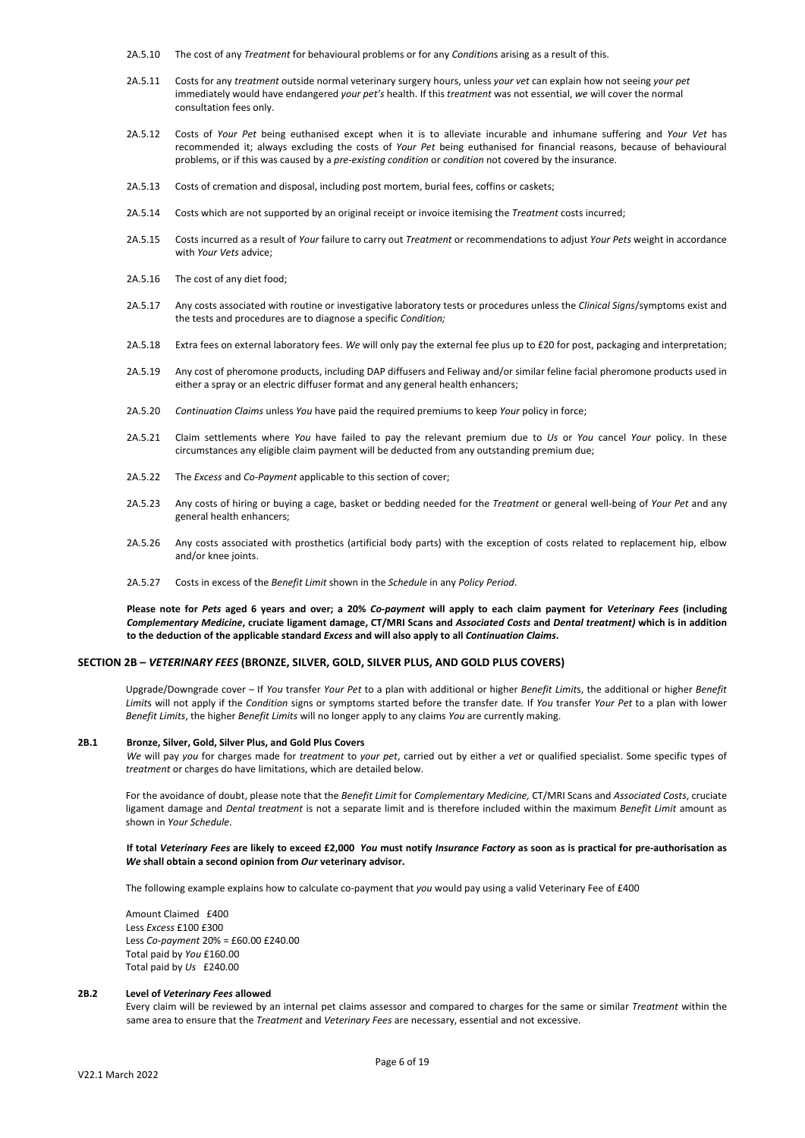- 2A.5.10 The cost of any *Treatment* for behavioural problems or for any *Condition*s arising as a result of this.
- 2A.5.11 Costs for any *treatment* outside normal veterinary surgery hours, unless *your vet* can explain how not seeing *your pet* immediately would have endangered *your pet's* health. If this *treatment* was not essential, *we* will cover the normal consultation fees only.
- 2A.5.12 Costs of *Your Pet* being euthanised except when it is to alleviate incurable and inhumane suffering and *Your Vet* has recommended it; always excluding the costs of *Your Pet* being euthanised for financial reasons, because of behavioural problems, or if this was caused by a *pre-existing condition* or *condition* not covered by the insurance.
- 2A.5.13 Costs of cremation and disposal, including post mortem, burial fees, coffins or caskets;
- 2A.5.14 Costs which are not supported by an original receipt or invoice itemising the *Treatment* costs incurred;
- 2A.5.15 Costs incurred as a result of *Your* failure to carry out *Treatment* or recommendations to adjust *Your Pets* weight in accordance with *Your Vets* advice;
- 2A.5.16 The cost of any diet food;
- 2A.5.17 Any costs associated with routine or investigative laboratory tests or procedures unless the *Clinical Signs*/symptoms exist and the tests and procedures are to diagnose a specific *Condition;*
- 2A.5.18 Extra fees on external laboratory fees. *We* will only pay the external fee plus up to £20 for post, packaging and interpretation;
- 2A.5.19 Any cost of pheromone products, including DAP diffusers and Feliway and/or similar felin[e facial pheromone](http://www.feliway.com/gb/Cat-behaviour/Feline-Marking-Behaviour/Facial-Marking#facialmarking) products used in either a spray or an electric diffuser format and any general health enhancers;
- 2A.5.20 *Continuation Claims* unless *You* have paid the required premiums to keep *Your* policy in force;
- 2A.5.21 Claim settlements where *You* have failed to pay the relevant premium due to *Us* or *You* cancel *Your* policy. In these circumstances any eligible claim payment will be deducted from any outstanding premium due;
- 2A.5.22 The *Excess* and *Co-Payment* applicable to this section of cover;
- 2A.5.23 Any costs of hiring or buying a cage, basket or bedding needed for the *Treatment* or general well-being of *Your Pet* and any general health enhancers;
- 2A.5.26 Any costs associated with prosthetics (artificial body parts) with the exception of costs related to replacement hip, elbow and/or knee joints.
- 2A.5.27 Costs in excess of the *Benefit Limit* shown in the *Schedule* in any *Policy Period*.

**Please note for** *Pets* **aged 6 years and over; a 20%** *Co-payment* **will apply to each claim payment for** *Veterinary Fees* **(including** *Complementary Medicine***, cruciate ligament damage, CT/MRI Scans and** *Associated Costs* **and** *Dental treatment)* **which is in addition to the deduction of the applicable standard** *Excess* **and will also apply to all** *Continuation Claims***.**

### **SECTION 2B –** *VETERINARY FEES* **(BRONZE, SILVER, GOLD, SILVER PLUS, AND GOLD PLUS COVERS)**

Upgrade/Downgrade cover – If *You* transfer *Your Pet* to a plan with additional or higher *Benefit Limit*s, the additional or higher *Benefit Limit*s will not apply if the *Condition* signs or symptoms started before the transfer date*.* If *You* transfer *Your Pet* to a plan with lower *Benefit Limits*, the higher *Benefit Limits* will no longer apply to any claims *You* are currently making.

#### **2B.1 Bronze, Silver, Gold, Silver Plus, and Gold Plus Covers**

*We* will pay *you* for charges made for *treatment* to *your pet*, carried out by either a *vet* or qualified specialist. Some specific types of *treatment* or charges do have limitations, which are detailed below.

For the avoidance of doubt, please note that the *Benefit Limit* for *Complementary Medicine,* CT/MRI Scans and *Associated Costs*, cruciate ligament damage and *Dental treatment* is not a separate limit and is therefore included within the maximum *Benefit Limit* amount as shown in *Your Schedule*.

#### **If total** *Veterinary Fees* **are likely to exceed £2,000** *You* **must notify** *Insurance Factory* **as soon as is practical for pre-authorisation as**  *We* **shall obtain a second opinion from** *Our* **veterinary advisor.**

The following example explains how to calculate co-payment that *you* would pay using a valid Veterinary Fee of £400

Amount Claimed £400 Less *Excess* £100 £300 Less *Co-payment* 20% = £60.00 £240.00 Total paid by *You* £160.00 Total paid by *Us* £240.00

#### **2B.2 Level of** *Veterinary Fees* **allowed**

Every claim will be reviewed by an internal pet claims assessor and compared to charges for the same or similar *Treatment* within the same area to ensure that the *Treatment* and *Veterinary Fees* are necessary, essential and not excessive.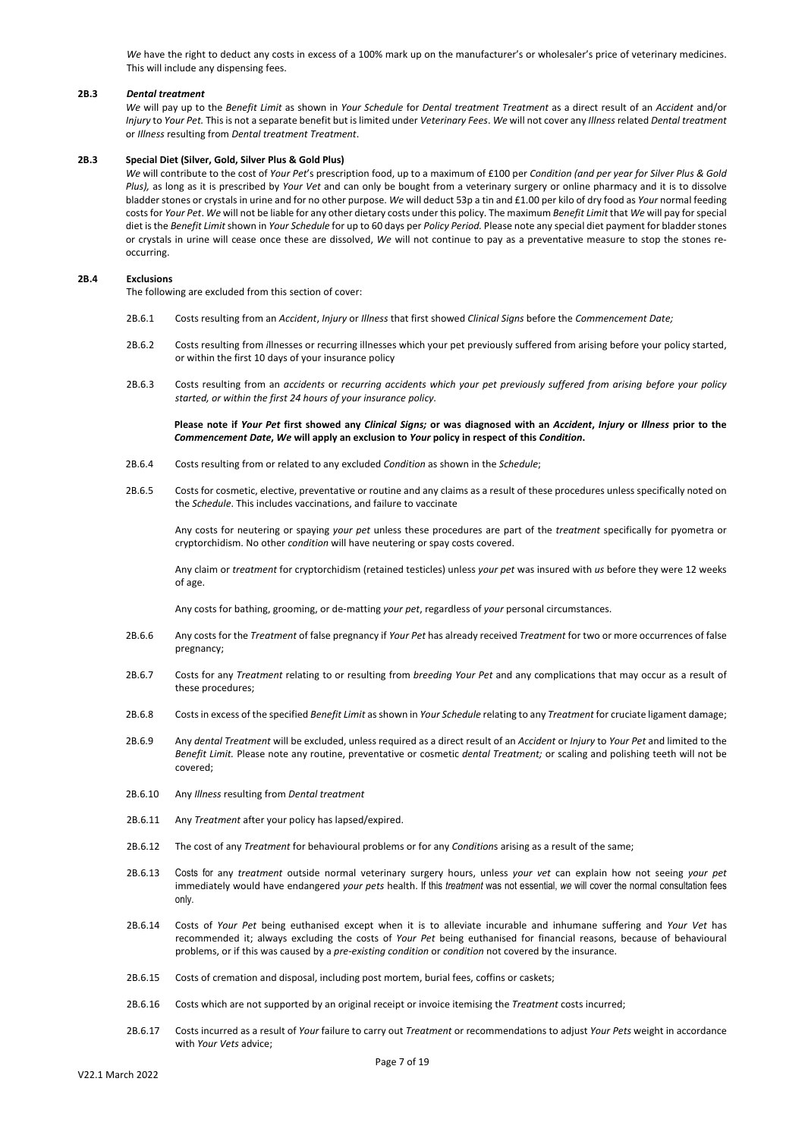We have the right to deduct any costs in excess of a 100% mark up on the manufacturer's or wholesaler's price of veterinary medicines. This will include any dispensing fees.

#### **2B.3** *Dental treatment*

*We* will pay up to the *Benefit Limit* as shown in *Your Schedule* for *Dental treatment Treatment* as a direct result of an *Accident* and/or *Injury* to *Your Pet.* This is not a separate benefit but is limited under *Veterinary Fees*. *We* will not cover any *Illness* related *Dental treatment* or *Illness* resulting from *Dental treatment Treatment*.

### **2B.3 Special Diet (Silver, Gold, Silver Plus & Gold Plus)**

*We* will contribute to the cost of *Your Pet*'s prescription food, up to a maximum of £100 per *Condition (and per year for Silver Plus & Gold Plus),* as long as it is prescribed by *Your Vet* and can only be bought from a veterinary surgery or online pharmacy and it is to dissolve bladder stones or crystals in urine and for no other purpose. *We* will deduct 53p a tin and £1.00 per kilo of dry food as *Your* normal feeding costs for *Your Pet*. *We* will not be liable for any other dietary costs under this policy. The maximum *Benefit Limit* that *We* will pay for special diet is the *Benefit Limit* shown in *Your Schedule* for up to 60 days per *Policy Period.* Please note any special diet payment for bladder stones or crystals in urine will cease once these are dissolved, *We* will not continue to pay as a preventative measure to stop the stones reoccurring.

#### **2B.4 Exclusions**

The following are excluded from this section of cover:

- 2B.6.1 Costs resulting from an *Accident*, *Injury* or *Illness* that first showed *Clinical Signs* before the *Commencement Date;*
- 2B.6.2 Costs resulting from *i*llnesses or recurring illnesses which your pet previously suffered from arising before your policy started, or within the first 10 days of your insurance policy
- 2B.6.3 Costs resulting from an *accidents* or *recurring accidents which your pet previously suffered from arising before your policy started, or within the first 24 hours of your insurance policy.*

**Please note if** *Your Pet* **first showed any** *Clinical Signs;* **or was diagnosed with an** *Accident***,** *Injury* **or** *Illness* **prior to the** *Commencement Date***,** *We* **will apply an exclusion to** *Your* **policy in respect of this** *Condition***.** 

- 2B.6.4 Costs resulting from or related to any excluded *Condition* as shown in the *Schedule*;
- 2B.6.5 Costs for cosmetic, elective, preventative or routine and any claims as a result of these procedures unless specifically noted on the *Schedule*. This includes vaccinations, and failure to vaccinate

Any costs for neutering or spaying *your pet* unless these procedures are part of the *treatment* specifically for pyometra or cryptorchidism. No other *condition* will have neutering or spay costs covered.

Any claim or *treatment* for cryptorchidism (retained testicles) unless *your pet* was insured with *us* before they were 12 weeks of age.

Any costs for bathing, grooming, or de-matting *your pet*, regardless of *your* personal circumstances.

- 2B.6.6 Any costs for the *Treatment* of false pregnancy if *Your Pet* has already received *Treatment* for two or more occurrences of false pregnancy;
- 2B.6.7 Costs for any *Treatment* relating to or resulting from *breeding Your Pet* and any complications that may occur as a result of these procedures;
- 2B.6.8 Costs in excess of the specified *Benefit Limit* as shown in *Your Schedule* relating to any *Treatment* for cruciate ligament damage;
- 2B.6.9 Any *dental Treatment* will be excluded, unless required as a direct result of an *Accident* or *Injury* to *Your Pet* and limited to the *Benefit Limit.* Please note any routine, preventative or cosmetic *dental Treatment;* or scaling and polishing teeth will not be covered;
- 2B.6.10 Any *Illness* resulting from *Dental treatment*
- 2B.6.11 Any *Treatment* after your policy has lapsed/expired.
- 2B.6.12 The cost of any *Treatment* for behavioural problems or for any *Condition*s arising as a result of the same;
- 2B.6.13 Costs for any *treatment* outside normal veterinary surgery hours, unless *your vet* can explain how not seeing *your pet* immediately would have endangered *your pets* health. If this *treatment* was not essential, *we* will cover the normal consultation fees only.
- 2B.6.14 Costs of *Your Pet* being euthanised except when it is to alleviate incurable and inhumane suffering and *Your Vet* has recommended it; always excluding the costs of *Your Pet* being euthanised for financial reasons, because of behavioural problems, or if this was caused by a *pre-existing condition* or *condition* not covered by the insurance.
- 2B.6.15 Costs of cremation and disposal, including post mortem, burial fees, coffins or caskets;
- 2B.6.16 Costs which are not supported by an original receipt or invoice itemising the *Treatment* costs incurred;
- 2B.6.17 Costs incurred as a result of *Your* failure to carry out *Treatment* or recommendations to adjust *Your Pets* weight in accordance with *Your Vets* advice;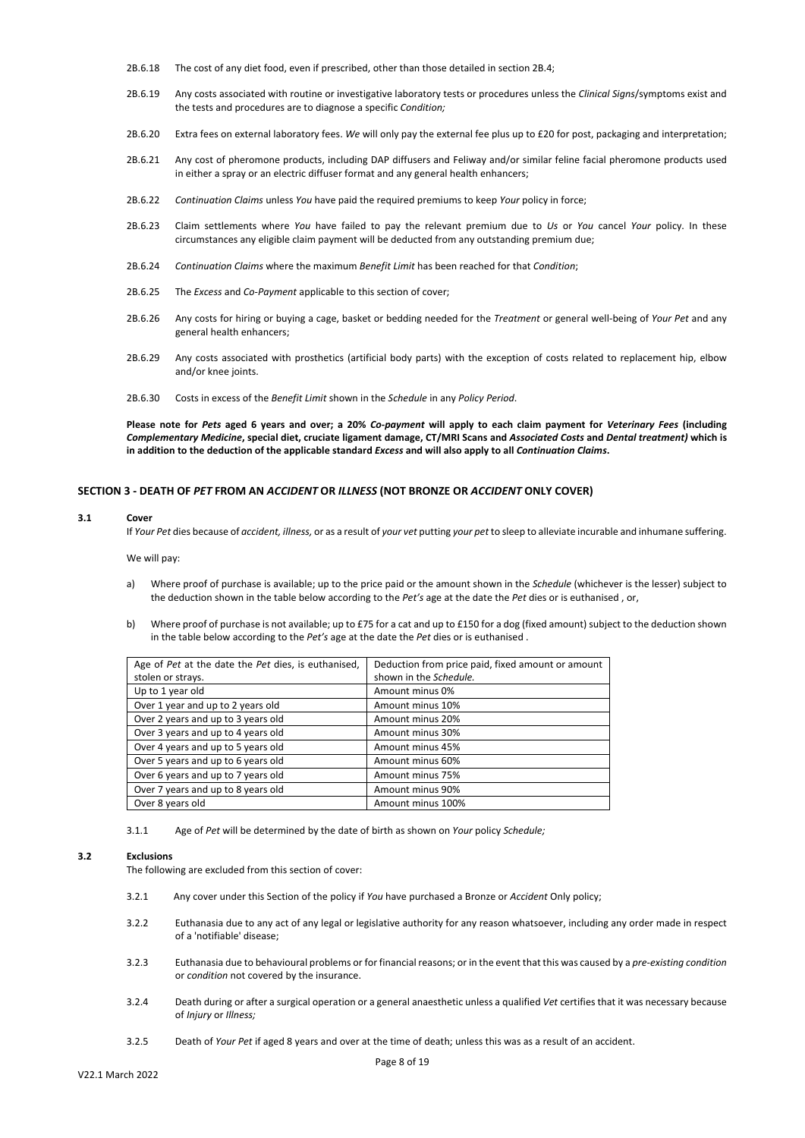- 2B.6.18 The cost of any diet food, even if prescribed, other than those detailed in section 2B.4;
- 2B.6.19 Any costs associated with routine or investigative laboratory tests or procedures unless the *Clinical Signs*/symptoms exist and the tests and procedures are to diagnose a specific *Condition;*
- 2B.6.20 Extra fees on external laboratory fees. *We* will only pay the external fee plus up to £20 for post, packaging and interpretation;
- 2B.6.21 Any cost of pheromone products, including DAP diffusers and Feliway and/or similar feline [facial pheromone](http://www.feliway.com/gb/Cat-behaviour/Feline-Marking-Behaviour/Facial-Marking#facialmarking) products used in either a spray or an electric diffuser format and any general health enhancers;
- 2B.6.22 *Continuation Claims* unless *You* have paid the required premiums to keep *Your* policy in force;
- 2B.6.23 Claim settlements where *You* have failed to pay the relevant premium due to *Us* or *You* cancel *Your* policy. In these circumstances any eligible claim payment will be deducted from any outstanding premium due;
- 2B.6.24 *Continuation Claims* where the maximum *Benefit Limit* has been reached for that *Condition*;
- 2B.6.25 The *Excess* and *Co-Payment* applicable to this section of cover;
- 2B.6.26 Any costs for hiring or buying a cage, basket or bedding needed for the *Treatment* or general well-being of *Your Pet* and any general health enhancers;
- 2B.6.29 Any costs associated with prosthetics (artificial body parts) with the exception of costs related to replacement hip, elbow and/or knee joints.
- 2B.6.30 Costs in excess of the *Benefit Limit* shown in the *Schedule* in any *Policy Period*.

**Please note for** *Pets* **aged 6 years and over; a 20%** *Co-payment* **will apply to each claim payment for** *Veterinary Fees* **(including** *Complementary Medicine***, special diet, cruciate ligament damage, CT/MRI Scans and** *Associated Costs* **and** *Dental treatment)* **which is in addition to the deduction of the applicable standard** *Excess* **and will also apply to all** *Continuation Claims***.**

#### **SECTION 3 - DEATH OF** *PET* **FROM AN** *ACCIDENT* **OR** *ILLNESS* **(NOT BRONZE OR** *ACCIDENT* **ONLY COVER)**

#### **3.1 Cover**

If *Your Pet* dies because of *accident, illness*, or as a result of *your vet* putting *your pet* to sleep to alleviate incurable and inhumane suffering.

We will pay:

- a) Where proof of purchase is available; up to the price paid or the amount shown in the *Schedule* (whichever is the lesser) subject to the deduction shown in the table below according to the *Pet's* age at the date the *Pet* dies or is euthanised , or,
- b) Where proof of purchase is not available; up to £75 for a cat and up to £150 for a dog (fixed amount) subject to the deduction shown in the table below according to the *Pet's* age at the date the *Pet* dies or is euthanised .

| Age of Pet at the date the Pet dies, is euthanised, | Deduction from price paid, fixed amount or amount |
|-----------------------------------------------------|---------------------------------------------------|
| stolen or strays.                                   | shown in the Schedule.                            |
| Up to 1 year old                                    | Amount minus 0%                                   |
| Over 1 year and up to 2 years old                   | Amount minus 10%                                  |
| Over 2 years and up to 3 years old                  | Amount minus 20%                                  |
| Over 3 years and up to 4 years old                  | Amount minus 30%                                  |
| Over 4 years and up to 5 years old                  | Amount minus 45%                                  |
| Over 5 years and up to 6 years old                  | Amount minus 60%                                  |
| Over 6 years and up to 7 years old                  | Amount minus 75%                                  |
| Over 7 years and up to 8 years old                  | Amount minus 90%                                  |
| Over 8 years old                                    | Amount minus 100%                                 |

3.1.1 Age of *Pet* will be determined by the date of birth as shown on *Your* policy *Schedule;*

#### **3.2 Exclusions**

The following are excluded from this section of cover:

- 3.2.1 Any cover under this Section of the policy if *You* have purchased a Bronze or *Accident* Only policy;
- 3.2.2 Euthanasia due to any act of any legal or legislative authority for any reason whatsoever, including any order made in respect of a 'notifiable' disease;
- 3.2.3 Euthanasia due to behavioural problems or for financial reasons; or in the event that this was caused by a *pre-existing condition*  or *condition* not covered by the insurance.
- 3.2.4 Death during or after a surgical operation or a general anaesthetic unless a qualified *Vet* certifies that it was necessary because of *Injury* or *Illness;*
- 3.2.5 Death of *Your Pet* if aged 8 years and over at the time of death; unless this was as a result of an accident.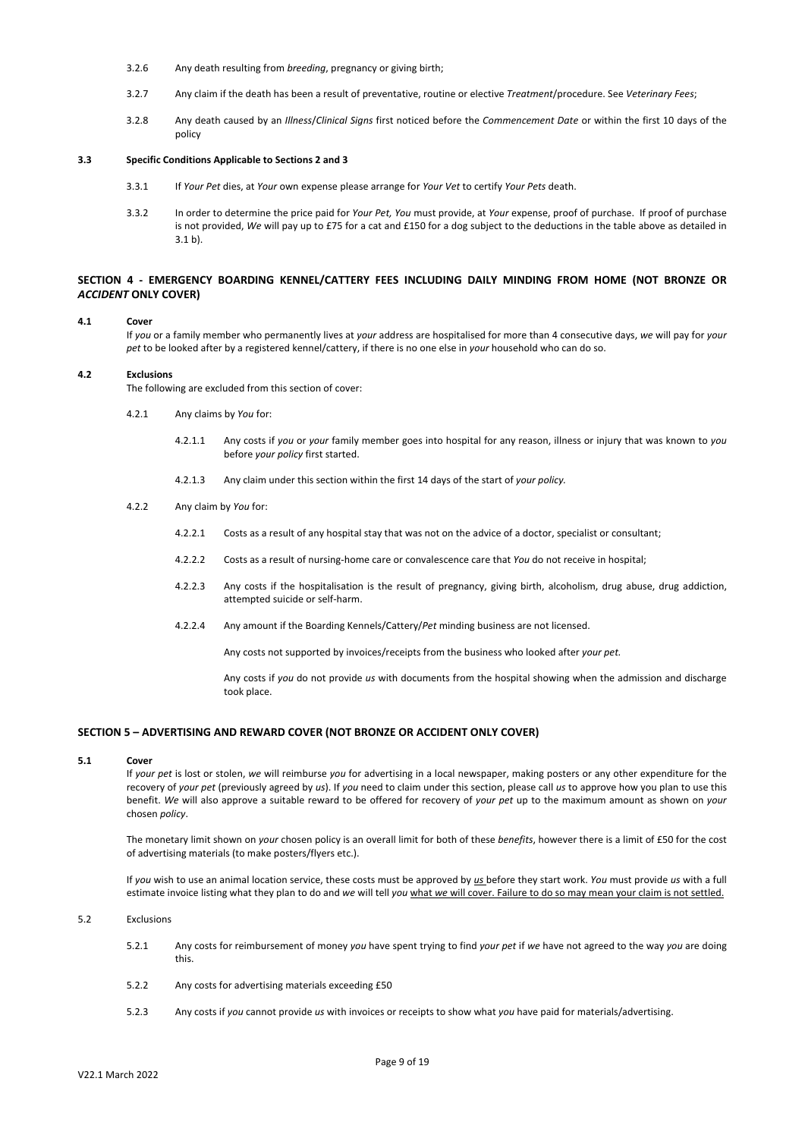- 3.2.6 Any death resulting from *breeding*, pregnancy or giving birth;
- 3.2.7 Any claim if the death has been a result of preventative, routine or elective *Treatment*/procedure. See *Veterinary Fees*;
- 3.2.8 Any death caused by an *Illness*/*Clinical Signs* first noticed before the *Commencement Date* or within the first 10 days of the policy

## **3.3 Specific Conditions Applicable to Sections 2 and 3**

- 3.3.1 If *Your Pet* dies, at *Your* own expense please arrange for *Your Vet* to certify *Your Pets* death.
- 3.3.2 In order to determine the price paid for *Your Pet, You* must provide, at *Your* expense, proof of purchase. If proof of purchase is not provided, *We* will pay up to £75 for a cat and £150 for a dog subject to the deductions in the table above as detailed in 3.1 b).

## **SECTION 4 - EMERGENCY BOARDING KENNEL/CATTERY FEES INCLUDING DAILY MINDING FROM HOME (NOT BRONZE OR**  *ACCIDENT* **ONLY COVER)**

### **4.1 Cover**

If *you* or a family member who permanently lives at *your* address are hospitalised for more than 4 consecutive days, *we* will pay for *your pet* to be looked after by a registered kennel/cattery, if there is no one else in *your* household who can do so.

#### **4.2 Exclusions**

The following are excluded from this section of cover:

- 4.2.1 Any claims by *You* for:
	- 4.2.1.1 Any costs if *you* or *your* family member goes into hospital for any reason, illness or injury that was known to *you*  before *your policy* first started.
	- 4.2.1.3 Any claim under this section within the first 14 days of the start of *your policy.*
- 4.2.2 Any claim by *You* for:
	- 4.2.2.1 Costs as a result of any hospital stay that was not on the advice of a doctor, specialist or consultant;
	- 4.2.2.2 Costs as a result of nursing-home care or convalescence care that *You* do not receive in hospital;
	- 4.2.2.3 Any costs if the hospitalisation is the result of pregnancy, giving birth, alcoholism, drug abuse, drug addiction, attempted suicide or self-harm.
	- 4.2.2.4 Any amount if the Boarding Kennels/Cattery/*Pet* minding business are not licensed.

Any costs not supported by invoices/receipts from the business who looked after *your pet.*

Any costs if *you* do not provide *us* with documents from the hospital showing when the admission and discharge took place.

## **SECTION 5 – ADVERTISING AND REWARD COVER (NOT BRONZE OR ACCIDENT ONLY COVER)**

#### **5.1 Cover**

If *your pet* is lost or stolen, *we* will reimburse *you* for advertising in a local newspaper, making posters or any other expenditure for the recovery of *your pet* (previously agreed by *us*). If *you* need to claim under this section, please call *us* to approve how you plan to use this benefit. *We* will also approve a suitable reward to be offered for recovery of *your pet* up to the maximum amount as shown on *your*  chosen *policy*.

The monetary limit shown on *your* chosen policy is an overall limit for both of these *benefits*, however there is a limit of £50 for the cost of advertising materials (to make posters/flyers etc.).

If *you* wish to use an animal location service, these costs must be approved by *us* before they start work. *You* must provide *us* with a full estimate invoice listing what they plan to do and *we* will tell *you* what *we* will cover. Failure to do so may mean your claim is not settled.

#### 5.2 Exclusions

- 5.2.1 Any costs for reimbursement of money *you* have spent trying to find *your pet* if *we* have not agreed to the way *you* are doing this.
- 5.2.2 Any costs for advertising materials exceeding £50
- 5.2.3 Any costs if *you* cannot provide *us* with invoices or receipts to show what *you* have paid for materials/advertising.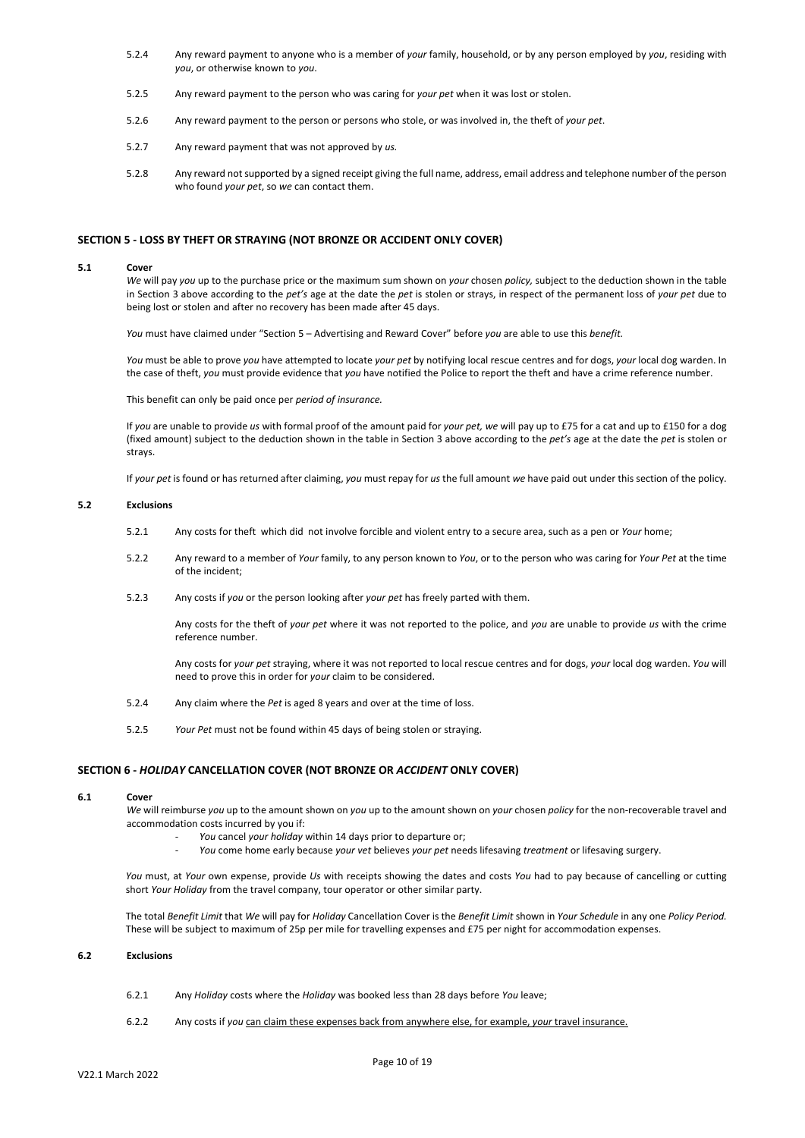- 5.2.4 Any reward payment to anyone who is a member of *your* family, household, or by any person employed by *you*, residing with *you*, or otherwise known to *you*.
- 5.2.5 Any reward payment to the person who was caring for *your pet* when it was lost or stolen.
- 5.2.6 Any reward payment to the person or persons who stole, or was involved in, the theft of *your pet*.
- 5.2.7 Any reward payment that was not approved by *us.*
- 5.2.8 Any reward not supported by a signed receipt giving the full name, address, email address and telephone number of the person who found *your pet*, so *we* can contact them.

### **SECTION 5 - LOSS BY THEFT OR STRAYING (NOT BRONZE OR ACCIDENT ONLY COVER)**

#### **5.1 Cover**

*We* will pay *you* up to the purchase price or the maximum sum shown on *your* chosen *policy,* subject to the deduction shown in the table in Section 3 above according to the *pet's* age at the date the *pet* is stolen or strays, in respect of the permanent loss of *your pet* due to being lost or stolen and after no recovery has been made after 45 days.

*You* must have claimed under "Section 5 – Advertising and Reward Cover" before *you* are able to use this *benefit.* 

*You* must be able to prove *you* have attempted to locate *your pet* by notifying local rescue centres and for dogs, *your* local dog warden. In the case of theft, *you* must provide evidence that *you* have notified the Police to report the theft and have a crime reference number.

This benefit can only be paid once per *period of insurance.*

If *you* are unable to provide *us* with formal proof of the amount paid for *your pet, we* will pay up to £75 for a cat and up to £150 for a dog (fixed amount) subject to the deduction shown in the table in Section 3 above according to the *pet's* age at the date the *pet* is stolen or strays.

If *your pet* is found or has returned after claiming, *you* must repay for *us* the full amount *we* have paid out under this section of the policy.

#### **5.2 Exclusions**

- 5.2.1 Any costs for theft which did not involve forcible and violent entry to a secure area, such as a pen or *Your* home;
- 5.2.2 Any reward to a member of *Your* family, to any person known to *You*, or to the person who was caring for *Your Pet* at the time of the incident;
- 5.2.3 Any costs if *you* or the person looking after *your pet* has freely parted with them.

Any costs for the theft of *your pet* where it was not reported to the police, and *you* are unable to provide *us* with the crime reference number.

Any costs for *your pet* straying, where it was not reported to local rescue centres and for dogs, *your* local dog warden. *You* will need to prove this in order for *your* claim to be considered.

- 5.2.4 Any claim where the *Pet* is aged 8 years and over at the time of loss.
- 5.2.5 *Your Pet* must not be found within 45 days of being stolen or straying.

#### **SECTION 6 -** *HOLIDAY* **CANCELLATION COVER (NOT BRONZE OR** *ACCIDENT* **ONLY COVER)**

## **6.1 Cover**

*We* will reimburse *you* up to the amount shown on *you* up to the amount shown on *your* chosen *policy* for the non-recoverable travel and accommodation costs incurred by you if:

- *- You* cancel *your holiday* within 14 days prior to departure or;
- *- You* come home early because *your vet* believes *your pet* needs lifesaving *treatment* or lifesaving surgery.

*You* must, at *Your* own expense, provide *Us* with receipts showing the dates and costs *You* had to pay because of cancelling or cutting short *Your Holiday* from the travel company, tour operator or other similar party.

The total *Benefit Limit* that *We* will pay for *Holiday* Cancellation Cover is the *Benefit Limit* shown in *Your Schedule* in any one *Policy Period.*  These will be subject to maximum of 25p per mile for travelling expenses and £75 per night for accommodation expenses.

### **6.2 Exclusions**

- 6.2.1 Any *Holiday* costs where the *Holiday* was booked less than 28 days before *You* leave;
- 6.2.2 Any costs if *you* can claim these expenses back from anywhere else, for example, *your* travel insurance.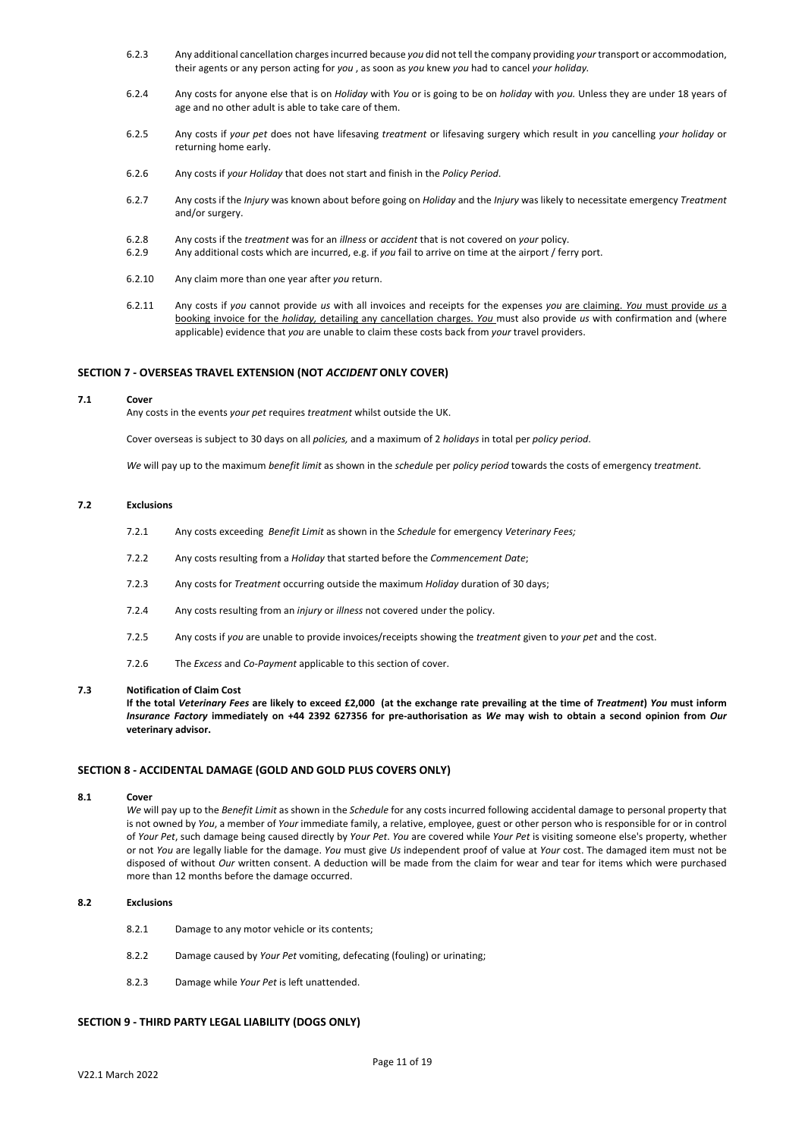- 6.2.3 Any additional cancellation charges incurred because *you* did not tell the company providing *your* transport or accommodation, their agents or any person acting for *you* , as soon as *you* knew *you* had to cancel *your holiday.*
- 6.2.4 Any costs for anyone else that is on *Holiday* with *You* or is going to be on *holiday* with *you.* Unless they are under 18 years of age and no other adult is able to take care of them.
- 6.2.5 Any costs if *your pet* does not have lifesaving *treatment* or lifesaving surgery which result in *you* cancelling *your holiday* or returning home early.
- 6.2.6 Any costs if *your Holiday* that does not start and finish in the *Policy Period*.
- 6.2.7 Any costs if the *Injury* was known about before going on *Holiday* and the *Injury* was likely to necessitate emergency *Treatment* and/or surgery.
- 6.2.8 Any costs if the *treatment* was for an *illness* or *accident* that is not covered on *your* policy.
- 6.2.9 Any additional costs which are incurred, e.g. if *you* fail to arrive on time at the airport / ferry port.
- 6.2.10 Any claim more than one year after *you* return.
- 6.2.11 Any costs if *you* cannot provide *us* with all invoices and receipts for the expenses *you* are claiming. *You* must provide *us* a booking invoice for the *holiday,* detailing any cancellation charges. *You* must also provide *us* with confirmation and (where applicable) evidence that *you* are unable to claim these costs back from *your* travel providers.

### **SECTION 7 - OVERSEAS TRAVEL EXTENSION (NOT** *ACCIDENT* **ONLY COVER)**

#### **7.1 Cover**

Any costs in the events *your pet* requires *treatment* whilst outside the UK.

Cover overseas is subject to 30 days on all *policies,* and a maximum of 2 *holidays* in total per *policy period*.

*We* will pay up to the maximum *benefit limit* as shown in the *schedule* per *policy period* towards the costs of emergency *treatment.*

#### **7.2 Exclusions**

- 7.2.1 Any costs exceeding *Benefit Limit* as shown in the *Schedule* for emergency *Veterinary Fees;*
- 7.2.2 Any costs resulting from a *Holiday* that started before the *Commencement Date*;
- 7.2.3 Any costs for *Treatment* occurring outside the maximum *Holiday* duration of 30 days;
- 7.2.4 Any costs resulting from an *injury* or *illness* not covered under the policy.
- 7.2.5 Any costs if *you* are unable to provide invoices/receipts showing the *treatment* given to *your pet* and the cost.
- 7.2.6 The *Excess* and *Co-Payment* applicable to this section of cover.

### **7.3 Notification of Claim Cost**

**If the total** *Veterinary Fees* **are likely to exceed £2,000 (at the exchange rate prevailing at the time of** *Treatment***)** *You* **must inform**  *Insurance Factory* **immediately on +44 2392 627356 for pre-authorisation as** *We* **may wish to obtain a second opinion from** *Our* **veterinary advisor.** 

### **SECTION 8 - ACCIDENTAL DAMAGE (GOLD AND GOLD PLUS COVERS ONLY)**

#### **8.1 Cover**

*We* will pay up to the *Benefit Limit* as shown in the *Schedule* for any costs incurred following accidental damage to personal property that is not owned by *You*, a member of *Your* immediate family, a relative, employee, guest or other person who is responsible for or in control of *Your Pet*, such damage being caused directly by *Your Pet*. *You* are covered while *Your Pet* is visiting someone else's property, whether or not *You* are legally liable for the damage. *You* must give *Us* independent proof of value at *Your* cost. The damaged item must not be disposed of without *Our* written consent. A deduction will be made from the claim for wear and tear for items which were purchased more than 12 months before the damage occurred.

#### **8.2 Exclusions**

- 8.2.1 Damage to any motor vehicle or its contents;
- 8.2.2 Damage caused by *Your Pet* vomiting, defecating (fouling) or urinating;
- 8.2.3 Damage while *Your Pet* is left unattended.

# **SECTION 9 - THIRD PARTY LEGAL LIABILITY (DOGS ONLY)**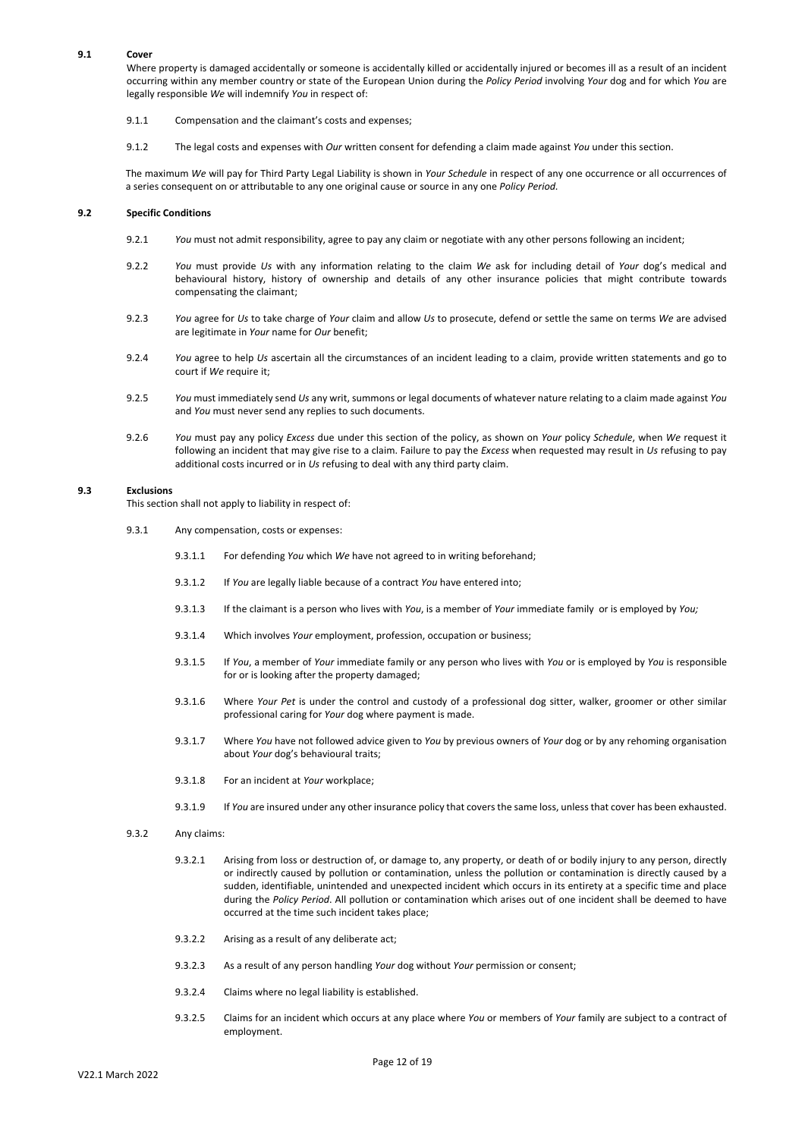## **9.1 Cover**

Where property is damaged accidentally or someone is accidentally killed or accidentally injured or becomes ill as a result of an incident occurring within any member country or state of the European Union during the *Policy Period* involving *Your* dog and for which *You* are legally responsible *We* will indemnify *You* in respect of:

- 9.1.1 Compensation and the claimant's costs and expenses;
- 9.1.2 The legal costs and expenses with *Our* written consent for defending a claim made against *You* under this section.

The maximum *We* will pay for Third Party Legal Liability is shown in *Your Schedule* in respect of any one occurrence or all occurrences of a series consequent on or attributable to any one original cause or source in any one *Policy Period.*

## **9.2 Specific Conditions**

- 9.2.1 *You* must not admit responsibility, agree to pay any claim or negotiate with any other persons following an incident;
- 9.2.2 *You* must provide *Us* with any information relating to the claim *We* ask for including detail of *Your* dog's medical and behavioural history, history of ownership and details of any other insurance policies that might contribute towards compensating the claimant;
- 9.2.3 *You* agree for *Us* to take charge of *Your* claim and allow *Us* to prosecute, defend or settle the same on terms *We* are advised are legitimate in *Your* name for *Our* benefit;
- 9.2.4 *You* agree to help *Us* ascertain all the circumstances of an incident leading to a claim, provide written statements and go to court if *We* require it;
- 9.2.5 *You* must immediately send *Us* any writ, summons or legal documents of whatever nature relating to a claim made against *You* and *You* must never send any replies to such documents.
- 9.2.6 *You* must pay any policy *Excess* due under this section of the policy, as shown on *Your* policy *Schedule*, when *We* request it following an incident that may give rise to a claim. Failure to pay the *Excess* when requested may result in *Us* refusing to pay additional costs incurred or in *Us* refusing to deal with any third party claim.

#### **9.3 Exclusions**

This section shall not apply to liability in respect of:

- 9.3.1 Any compensation, costs or expenses:
	- 9.3.1.1 For defending *You* which *We* have not agreed to in writing beforehand;
	- 9.3.1.2 If *You* are legally liable because of a contract *You* have entered into;
	- 9.3.1.3 If the claimant is a person who lives with *You*, is a member of *Your* immediate family or is employed by *You;*
	- 9.3.1.4 Which involves *Your* employment, profession, occupation or business;
	- 9.3.1.5 If *You*, a member of *Your* immediate family or any person who lives with *You* or is employed by *You* is responsible for or is looking after the property damaged;
	- 9.3.1.6 Where *Your Pet* is under the control and custody of a professional dog sitter, walker, groomer or other similar professional caring for *Your* dog where payment is made.
	- 9.3.1.7 Where *You* have not followed advice given to *You* by previous owners of *Your* dog or by any rehoming organisation about *Your* dog's behavioural traits;
	- 9.3.1.8 For an incident at *Your* workplace;
	- 9.3.1.9 If *You* are insured under any other insurance policy that covers the same loss, unlessthat cover has been exhausted.
- 9.3.2 Any claims:
	- 9.3.2.1 Arising from loss or destruction of, or damage to, any property, or death of or bodily injury to any person, directly or indirectly caused by pollution or contamination, unless the pollution or contamination is directly caused by a sudden, identifiable, unintended and unexpected incident which occurs in its entirety at a specific time and place during the *Policy Period*. All pollution or contamination which arises out of one incident shall be deemed to have occurred at the time such incident takes place;
	- 9.3.2.2 Arising as a result of any deliberate act;
	- 9.3.2.3 As a result of any person handling *Your* dog without *Your* permission or consent;
	- 9.3.2.4 Claims where no legal liability is established.
	- 9.3.2.5 Claims for an incident which occurs at any place where *You* or members of *Your* family are subject to a contract of employment.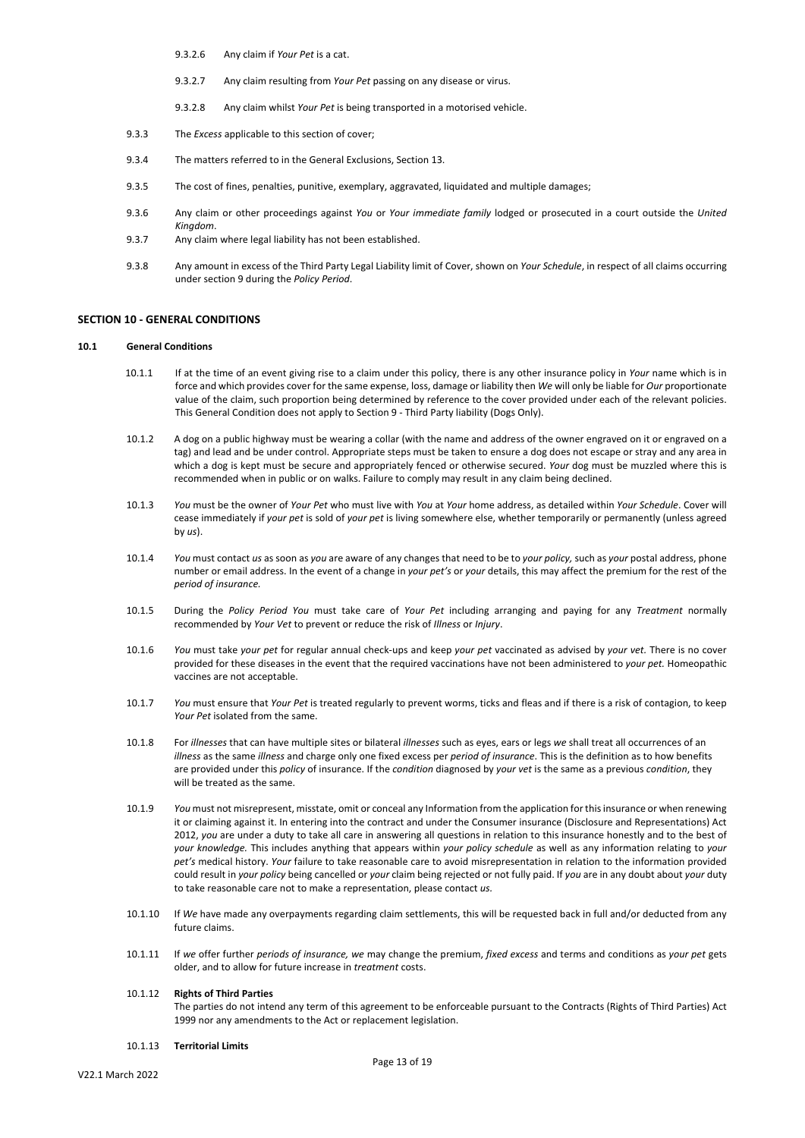- 9.3.2.6 Any claim if *Your Pet* is a cat.
- 9.3.2.7 Any claim resulting from *Your Pet* passing on any disease or virus.
- 9.3.2.8 Any claim whilst *Your Pet* is being transported in a motorised vehicle.
- 9.3.3 The *Excess* applicable to this section of cover;
- 9.3.4 The matters referred to in the General Exclusions, Section 13.
- 9.3.5 The cost of fines, penalties, punitive, exemplary, aggravated, liquidated and multiple damages;
- 9.3.6 Any claim or other proceedings against *You* or *Your immediate family* lodged or prosecuted in a court outside the *United Kingdom*.
- 9.3.7 Any claim where legal liability has not been established.
- 9.3.8 Any amount in excess of the Third Party Legal Liability limit of Cover, shown on *Your Schedule*, in respect of all claims occurring under section 9 during the *Policy Period*.

# **SECTION 10 - GENERAL CONDITIONS**

### **10.1 General Conditions**

- 10.1.1 If at the time of an event giving rise to a claim under this policy, there is any other insurance policy in *Your* name which is in force and which provides cover for the same expense, loss, damage or liability then *We* will only be liable for *Our* proportionate value of the claim, such proportion being determined by reference to the cover provided under each of the relevant policies. This General Condition does not apply to Section 9 - Third Party liability (Dogs Only).
- 10.1.2 A dog on a public highway must be wearing a collar (with the name and address of the owner engraved on it or engraved on a tag) and lead and be under control. Appropriate steps must be taken to ensure a dog does not escape or stray and any area in which a dog is kept must be secure and appropriately fenced or otherwise secured. *Your* dog must be muzzled where this is recommended when in public or on walks. Failure to comply may result in any claim being declined.
- 10.1.3 *You* must be the owner of *Your Pet* who must live with *You* at *Your* home address, as detailed within *Your Schedule*. Cover will cease immediately if *your pet* is sold of *your pet* is living somewhere else, whether temporarily or permanently (unless agreed by *us*).
- 10.1.4 *You* must contact *us* as soon as *you* are aware of any changes that need to be to *your policy,* such as *your* postal address, phone number or email address. In the event of a change in *your pet's* or *your* details, this may affect the premium for the rest of the *period of insurance.*
- 10.1.5 During the *Policy Period You* must take care of *Your Pet* including arranging and paying for any *Treatment* normally recommended by *Your Vet* to prevent or reduce the risk of *Illness* or *Injury*.
- 10.1.6 *You* must take *your pet* for regular annual check-ups and keep *your pet* vaccinated as advised by *your vet.* There is no cover provided for these diseases in the event that the required vaccinations have not been administered to *your pet.* Homeopathic vaccines are not acceptable.
- 10.1.7 *You* must ensure that *Your Pet* is treated regularly to prevent worms, ticks and fleas and if there is a risk of contagion, to keep *Your Pet* isolated from the same.
- 10.1.8 For *illnesses* that can have multiple sites or bilateral *illnesses* such as eyes, ears or legs *we* shall treat all occurrences of an *illness* as the same *illness* and charge only one fixed excess per *period of insurance*. This is the definition as to how benefits are provided under this *policy* of insurance. If the *condition* diagnosed by *your vet* is the same as a previous *condition*, they will be treated as the same.
- 10.1.9 *You* must not misrepresent, misstate, omit or conceal any Information from the application for this insurance or when renewing it or claiming against it. In entering into the contract and under the Consumer insurance (Disclosure and Representations) Act 2012, *you* are under a duty to take all care in answering all questions in relation to this insurance honestly and to the best of *your knowledge.* This includes anything that appears within *your policy schedule* as well as any information relating to *your pet's* medical history. *Your* failure to take reasonable care to avoid misrepresentation in relation to the information provided could result in *your policy* being cancelled or *your* claim being rejected or not fully paid. If *you* are in any doubt about *your* duty to take reasonable care not to make a representation, please contact *us.*
- 10.1.10 If *We* have made any overpayments regarding claim settlements, this will be requested back in full and/or deducted from any future claims.
- 10.1.11 If *we* offer further *periods of insurance, we* may change the premium, *fixed excess* and terms and conditions as *your pet* gets older, and to allow for future increase in *treatment* costs.

# 10.1.12 **Rights of Third Parties** The parties do not intend any term of this agreement to be enforceable pursuant to the Contracts (Rights of Third Parties) Act 1999 nor any amendments to the Act or replacement legislation.

10.1.13 **Territorial Limits**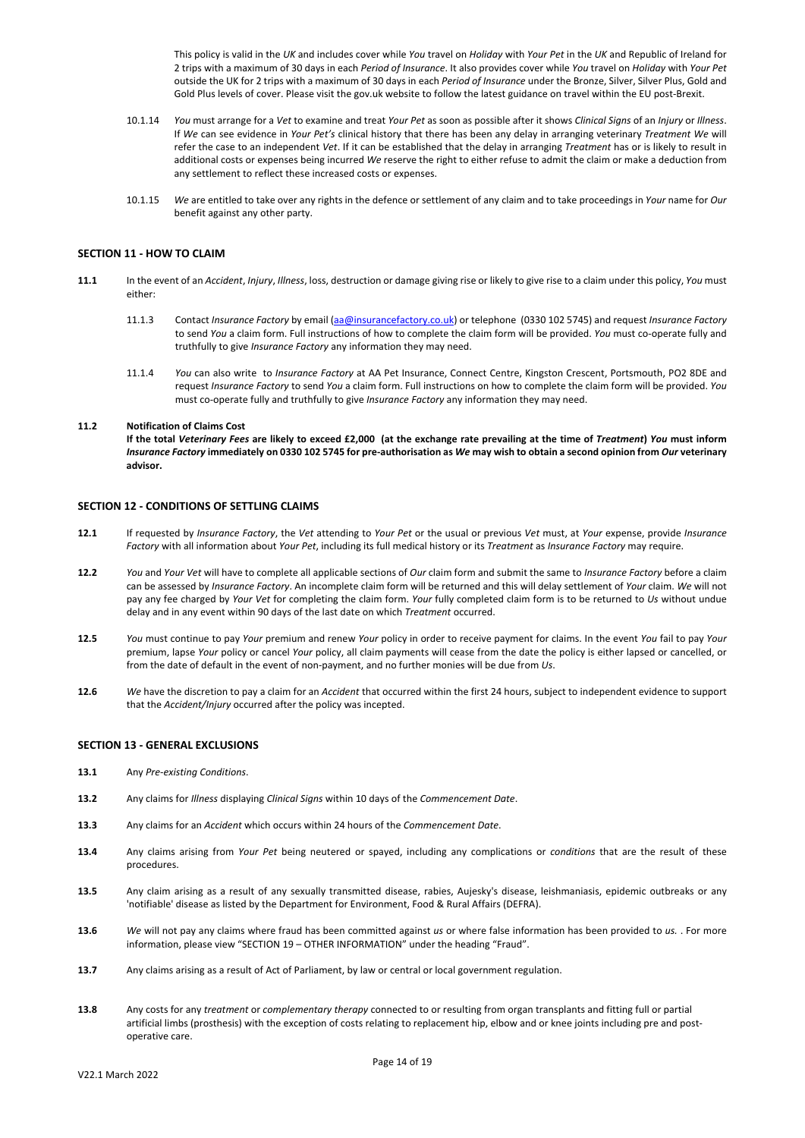This policy is valid in the *UK* and includes cover while *You* travel on *Holiday* with *Your Pet* in the *UK* and Republic of Ireland for 2 trips with a maximum of 30 days in each *Period of Insurance*. It also provides cover while *You* travel on *Holiday* with *Your Pet* outside the UK for 2 trips with a maximum of 30 days in each *Period of Insurance* under the Bronze, Silver, Silver Plus, Gold and Gold Plus levels of cover. Please visit the gov.uk website to follow the latest guidance on travel within the EU post-Brexit.

- 10.1.14 *You* must arrange for a *Vet* to examine and treat *Your Pet* as soon as possible after it shows *Clinical Signs* of an *Injury* or *Illness*. If *We* can see evidence in *Your Pet's* clinical history that there has been any delay in arranging veterinary *Treatment We* will refer the case to an independent *Vet*. If it can be established that the delay in arranging *Treatment* has or is likely to result in additional costs or expenses being incurred *We* reserve the right to either refuse to admit the claim or make a deduction from any settlement to reflect these increased costs or expenses.
- 10.1.15 *We* are entitled to take over any rights in the defence or settlement of any claim and to take proceedings in *Your* name for *Our* benefit against any other party.

### **SECTION 11 - HOW TO CLAIM**

- **11.1** In the event of an *Accident*, *Injury*, *Illness*, loss, destruction or damage giving rise or likely to give rise to a claim under this policy, *You* must either:
	- 11.1.3 Contact *Insurance Factory* by email [\(aa@insurancefactory.co.uk\)](mailto:aa@insurancefactory.co.uk) or telephone (0330 102 5745) and request *Insurance Factory* to send *You* a claim form. Full instructions of how to complete the claim form will be provided. *You* must co-operate fully and truthfully to give *Insurance Factory* any information they may need.
	- 11.1.4 *You* can also write to *Insurance Factory* at AA Pet Insurance, Connect Centre, Kingston Crescent, Portsmouth, PO2 8DE and request *Insurance Factory* to send *You* a claim form. Full instructions on how to complete the claim form will be provided. *You*  must co-operate fully and truthfully to give *Insurance Factory* any information they may need.

## **11.2 Notification of Claims Cost**

**If the total** *Veterinary Fees* **are likely to exceed £2,000 (at the exchange rate prevailing at the time of** *Treatment***)** *You* **must inform**  *Insurance Factory* **immediately on 0330 102 5745 for pre-authorisation as** *We* **may wish to obtain a second opinion from** *Our* **veterinary advisor.**

### **SECTION 12 - CONDITIONS OF SETTLING CLAIMS**

- **12.1** If requested by *Insurance Factory*, the *Vet* attending to *Your Pet* or the usual or previous *Vet* must, at *Your* expense, provide *Insurance Factory* with all information about *Your Pet*, including its full medical history or its *Treatment* as *Insurance Factory* may require.
- **12.2** *You* and *Your Vet* will have to complete all applicable sections of *Our* claim form and submit the same to *Insurance Factory* before a claim can be assessed by *Insurance Factory*. An incomplete claim form will be returned and this will delay settlement of *Your* claim. *We* will not pay any fee charged by *Your Vet* for completing the claim form. *Your* fully completed claim form is to be returned to *Us* without undue delay and in any event within 90 days of the last date on which *Treatment* occurred.
- **12.5** *You* must continue to pay *Your* premium and renew *Your* policy in order to receive payment for claims. In the event *You* fail to pay *Your* premium, lapse *Your* policy or cancel *Your* policy, all claim payments will cease from the date the policy is either lapsed or cancelled, or from the date of default in the event of non-payment, and no further monies will be due from *Us*.
- **12.6** *We* have the discretion to pay a claim for an *Accident* that occurred within the first 24 hours, subject to independent evidence to support that the *Accident/Injury* occurred after the policy was incepted.

## **SECTION 13 - GENERAL EXCLUSIONS**

- **13.1** Any *Pre-existing Conditions*.
- **13.2** Any claims for *Illness* displaying *Clinical Signs* within 10 days of the *Commencement Date*.
- **13.3** Any claims for an *Accident* which occurs within 24 hours of the *Commencement Date*.
- **13.4** Any claims arising from *Your Pet* being neutered or spayed, including any complications or *conditions* that are the result of these procedures.
- **13.5** Any claim arising as a result of any sexually transmitted disease, rabies, Aujesky's disease, leishmaniasis, epidemic outbreaks or any 'notifiable' disease as listed by the Department for Environment, Food & Rural Affairs (DEFRA).
- **13.6** *We* will not pay any claims where fraud has been committed against *us* or where false information has been provided to *us.* . For more information, please view "SECTION 19 – OTHER INFORMATION" under the heading "Fraud".
- **13.7** Any claims arising as a result of Act of Parliament, by law or central or local government regulation.
- **13.8** Any costs for any *treatment* or *complementary therapy* connected to or resulting from organ transplants and fitting full or partial artificial limbs (prosthesis) with the exception of costs relating to replacement hip, elbow and or knee joints including pre and postoperative care.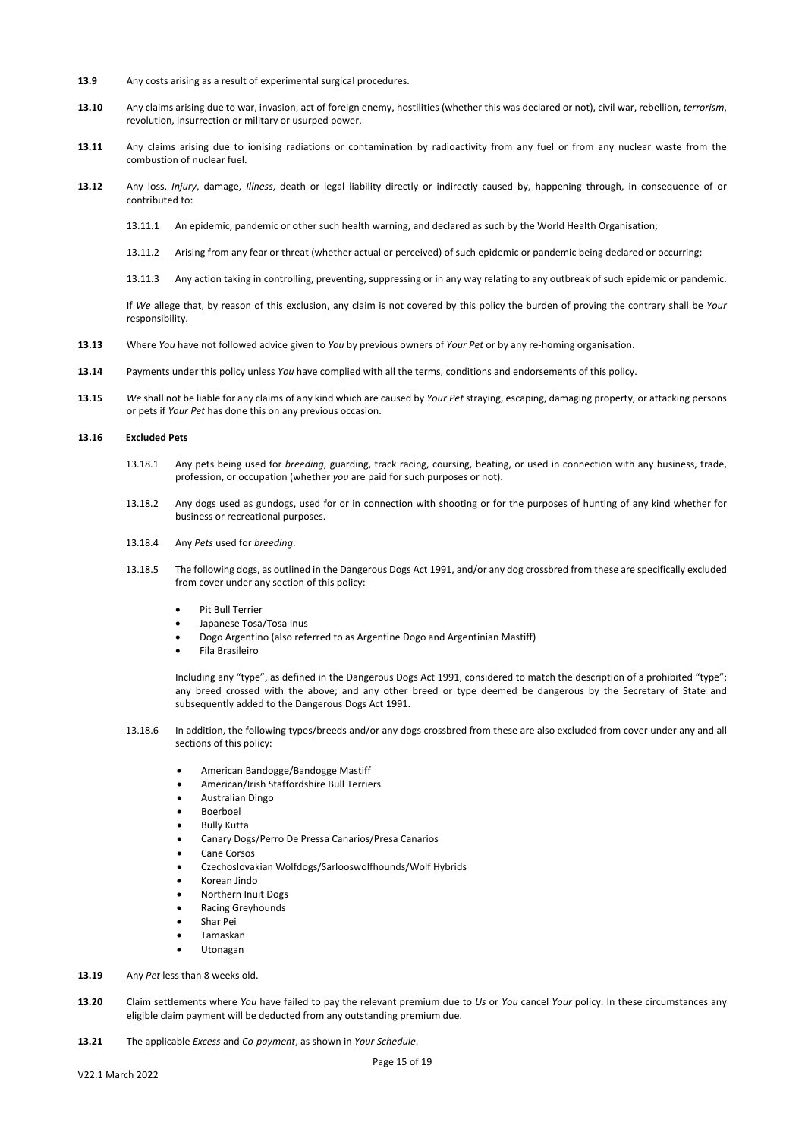- **13.9** Any costs arising as a result of experimental surgical procedures.
- **13.10** Any claims arising due to war, invasion, act of foreign enemy, hostilities (whether this was declared or not), civil war, rebellion, *terrorism*, revolution, insurrection or military or usurped power.
- **13.11** Any claims arising due to ionising radiations or contamination by radioactivity from any fuel or from any nuclear waste from the combustion of nuclear fuel.
- **13.12** Any loss, *Injury*, damage, *Illness*, death or legal liability directly or indirectly caused by, happening through, in consequence of or contributed to:
	- 13.11.1 An epidemic, pandemic or other such health warning, and declared as such by the World Health Organisation;
	- 13.11.2 Arising from any fear or threat (whether actual or perceived) of such epidemic or pandemic being declared or occurring;
	- 13.11.3 Any action taking in controlling, preventing, suppressing or in any way relating to any outbreak of such epidemic or pandemic.

If *We* allege that, by reason of this exclusion, any claim is not covered by this policy the burden of proving the contrary shall be *Your* responsibility.

- **13.13** Where *You* have not followed advice given to *You* by previous owners of *Your Pet* or by any re-homing organisation.
- **13.14** Payments under this policy unless *You* have complied with all the terms, conditions and endorsements of this policy.
- **13.15** *We* shall not be liable for any claims of any kind which are caused by *Your Pet* straying, escaping, damaging property, or attacking persons or pets if *Your Pet* has done this on any previous occasion.

### **13.16 Excluded Pets**

- 13.18.1 Any pets being used for *breeding*, guarding, track racing, coursing, beating, or used in connection with any business, trade, profession, or occupation (whether *you* are paid for such purposes or not).
- 13.18.2 Any dogs used as gundogs, used for or in connection with shooting or for the purposes of hunting of any kind whether for business or recreational purposes.
- 13.18.4 Any *Pets* used for *breeding*.
- 13.18.5 The following dogs, as outlined in the Dangerous Dogs Act 1991, and/or any dog crossbred from these are specifically excluded from cover under any section of this policy:
	- Pit Bull Terrier
	- Japanese Tosa/Tosa Inus
	- Dogo Argentino (also referred to as Argentine Dogo and Argentinian Mastiff)
	- Fila Brasileiro

Including any "type", as defined in the Dangerous Dogs Act 1991, considered to match the description of a prohibited "type"; any breed crossed with the above; and any other breed or type deemed be dangerous by the Secretary of State and subsequently added to the Dangerous Dogs Act 1991.

- 13.18.6 In addition, the following types/breeds and/or any dogs crossbred from these are also excluded from cover under any and all sections of this policy:
	- American Bandogge/Bandogge Mastiff
	- American/Irish Staffordshire Bull Terriers
	- Australian Dingo
	- Boerboel
	- Bully Kutta
	- Canary Dogs/Perro De Pressa Canarios/Presa Canarios
	- Cane Corsos
	- Czechoslovakian Wolfdogs/Sarlooswolfhounds/Wolf Hybrids
	- Korean Jindo
	- Northern Inuit Dogs
	- Racing Greyhounds
	- Shar Pei
	- Tamaskan
	- Utonagan
- **13.19** Any *Pet* less than 8 weeks old.
- **13.20** Claim settlements where *You* have failed to pay the relevant premium due to *Us* or *You* cancel *Your* policy. In these circumstances any eligible claim payment will be deducted from any outstanding premium due.
- **13.21** The applicable *Excess* and *Co-payment*, as shown in *Your Schedule*.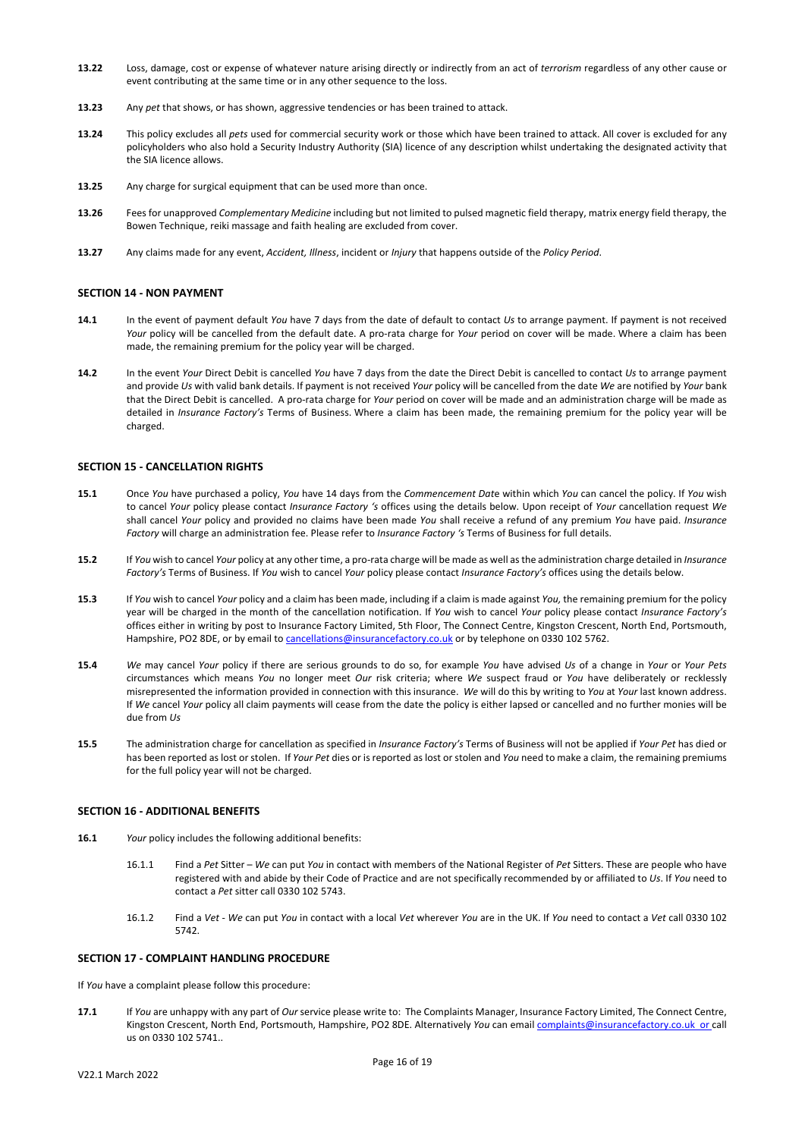- **13.22** Loss, damage, cost or expense of whatever nature arising directly or indirectly from an act of *terrorism* regardless of any other cause or event contributing at the same time or in any other sequence to the loss.
- **13.23** Any *pet* that shows, or has shown, aggressive tendencies or has been trained to attack.
- **13.24** This policy excludes all *pets* used for commercial security work or those which have been trained to attack. All cover is excluded for any policyholders who also hold a Security Industry Authority (SIA) licence of any description whilst undertaking the designated activity that the SIA licence allows.
- **13.25** Any charge for surgical equipment that can be used more than once.
- **13.26** Fees for unapproved *Complementary Medicine* including but not limited to pulsed magnetic field therapy, matrix energy field therapy, the Bowen Technique, reiki massage and faith healing are excluded from cover.
- **13.27** Any claims made for any event, *Accident, Illness*, incident or *Injury* that happens outside of the *Policy Period*.

### **SECTION 14 - NON PAYMENT**

- **14.1** In the event of payment default *You* have 7 days from the date of default to contact *Us* to arrange payment. If payment is not received *Your* policy will be cancelled from the default date. A pro-rata charge for *Your* period on cover will be made. Where a claim has been made, the remaining premium for the policy year will be charged.
- **14.2** In the event *Your* Direct Debit is cancelled *You* have 7 days from the date the Direct Debit is cancelled to contact *Us* to arrange payment and provide *Us* with valid bank details. If payment is not received *Your* policy will be cancelled from the date *We* are notified by *Your* bank that the Direct Debit is cancelled. A pro-rata charge for *Your* period on cover will be made and an administration charge will be made as detailed in *Insurance Factory's* Terms of Business. Where a claim has been made, the remaining premium for the policy year will be charged.

### **SECTION 15 - CANCELLATION RIGHTS**

- **15.1** Once *You* have purchased a policy, *You* have 14 days from the *Commencement Dat*e within which *You* can cancel the policy. If *You* wish to cancel *Your* policy please contact *Insurance Factory 's* offices using the details below. Upon receipt of *Your* cancellation request *We* shall cancel *Your* policy and provided no claims have been made *You* shall receive a refund of any premium *You* have paid. *Insurance Factory* will charge an administration fee. Please refer to *Insurance Factory 's* Terms of Business for full details.
- **15.2** If *You* wish to cancel *Your* policy at any other time, a pro-rata charge will be made as well as the administration charge detailed in *Insurance Factory's* Terms of Business. If *You* wish to cancel *Your* policy please contact *Insurance Factory's* offices using the details below.
- **15.3** If *You* wish to cancel *Your* policy and a claim has been made, including if a claim is made against *You,* the remaining premium for the policy year will be charged in the month of the cancellation notification. If *You* wish to cancel *Your* policy please contact *Insurance Factory's* offices either in writing by post to Insurance Factory Limited, 5th Floor, The Connect Centre, Kingston Crescent, North End, Portsmouth, Hampshire, PO2 8DE, or by email t[o cancellations@insurancefactory.co.uk](mailto:cancellations@insurancefactory.co.uk) or by telephone on 0330 102 5762.
- **15.4** *We* may cancel *Your* policy if there are serious grounds to do so, for example *You* have advised *Us* of a change in *Your* or *Your Pets* circumstances which means *You* no longer meet *Our* risk criteria; where *We* suspect fraud or *You* have deliberately or recklessly misrepresented the information provided in connection with this insurance. *We* will do this by writing to *You* at *Your* last known address. If *We* cancel *Your* policy all claim payments will cease from the date the policy is either lapsed or cancelled and no further monies will be due from *Us*
- **15.5**The administration charge for cancellation as specified in *Insurance Factory's* Terms of Business will not be applied if *Your Pet* has died or has been reported as lost or stolen. If *Your Pet* dies or is reported as lost or stolen and *You* need to make a claim, the remaining premiums for the full policy year will not be charged.

### **SECTION 16 - ADDITIONAL BENEFITS**

- **16.1** *Your* policy includes the following additional benefits:
	- 16.1.1 Find a *Pet* Sitter *We* can put *You* in contact with members of the National Register of *Pet* Sitters. These are people who have registered with and abide by their Code of Practice and are not specifically recommended by or affiliated to *Us*. If *You* need to contact a *Pet* sitter call 0330 102 5743.
	- 16.1.2 Find a *Vet We* can put *You* in contact with a local *Vet* wherever *You* are in the UK. If *You* need to contact a *Vet* call 0330 102 5742.

## **SECTION 17 - COMPLAINT HANDLING PROCEDURE**

If *You* have a complaint please follow this procedure:

**17.1** If *You* are unhappy with any part of *Our* service please write to: The Complaints Manager, Insurance Factory Limited, The Connect Centre, Kingston Crescent, North End, Portsmouth, Hampshire, PO2 8DE. Alternatively *You* can emai[l complaints@insurancefactory.co.uk](mailto:complaints@insurancefactory.co.uk) or call us on 0330 102 5741..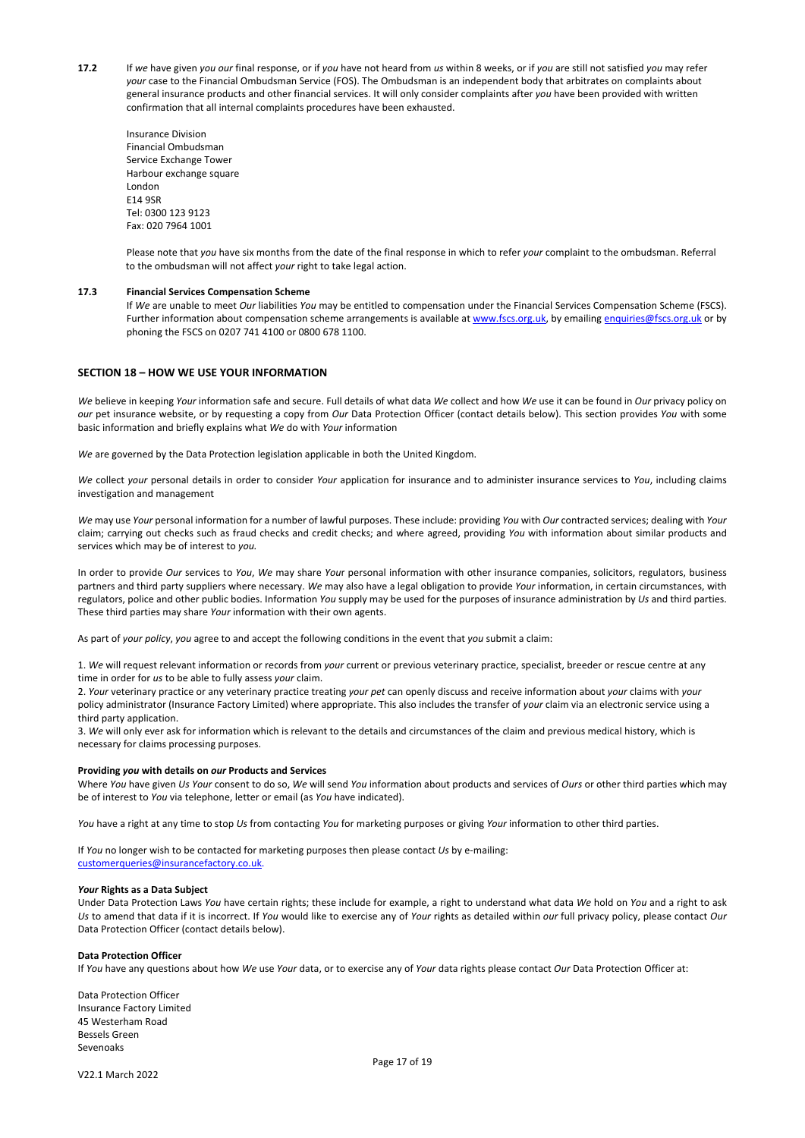- **17.2** If *we* have given *you our* final response, or if *you* have not heard from *us* within 8 weeks, or if *you* are still not satisfied *you* may refer *your* case to the Financial Ombudsman Service (FOS). The Ombudsman is an independent body that arbitrates on complaints about general insurance products and other financial services. It will only consider complaints after *you* have been provided with written confirmation that all internal complaints procedures have been exhausted.
	- Insurance Division Financial Ombudsman Service Exchange Tower Harbour exchange square London E14 9SR Tel: 0300 123 9123 Fax: 020 7964 1001

Please note that *you* have six months from the date of the final response in which to refer *your* complaint to the ombudsman. Referral to the ombudsman will not affect *your* right to take legal action.

### **17.3 Financial Services Compensation Scheme**

If *We* are unable to meet *Our* liabilities *You* may be entitled to compensation under the Financial Services Compensation Scheme (FSCS). Further information about compensation scheme arrangements is available a[t www.fscs.org.uk,](http://www.fscs.org.uk/) by emailin[g enquiries@fscs.org.uk](mailto:enquiries@fscs.org.uk) or by phoning the FSCS on 0207 741 4100 or 0800 678 1100.

## **SECTION 18 – HOW WE USE YOUR INFORMATION**

*We* believe in keeping *Your* information safe and secure. Full details of what data *We* collect and how *We* use it can be found in *Our* privacy policy on *our* pet insurance website, or by requesting a copy from *Our* Data Protection Officer (contact details below). This section provides *You* with some basic information and briefly explains what *We* do with *Your* information

*We* are governed by the Data Protection legislation applicable in both the United Kingdom.

*We* collect *your* personal details in order to consider *Your* application for insurance and to administer insurance services to *You*, including claims investigation and management

*We* may use *Your* personal information for a number of lawful purposes. These include: providing *You* with *Our* contracted services; dealing with *Your* claim; carrying out checks such as fraud checks and credit checks; and where agreed, providing *You* with information about similar products and services which may be of interest to *you.*

In order to provide *Our* services to *You*, *We* may share *You*r personal information with other insurance companies, solicitors, regulators, business partners and third party suppliers where necessary. *We* may also have a legal obligation to provide *Your* information, in certain circumstances, with regulators, police and other public bodies. Information *You* supply may be used for the purposes of insurance administration by *Us* and third parties. These third parties may share *Your* information with their own agents.

As part of *your policy*, *you* agree to and accept the following conditions in the event that *you* submit a claim:

1. *We* will request relevant information or records from *your* current or previous veterinary practice, specialist, breeder or rescue centre at any time in order for *us* to be able to fully assess *your* claim.

2. *Your* veterinary practice or any veterinary practice treating *your pet* can openly discuss and receive information about *your* claims with *your* policy administrator (Insurance Factory Limited) where appropriate. This also includes the transfer of *your* claim via an electronic service using a third party application.

3. *We* will only ever ask for information which is relevant to the details and circumstances of the claim and previous medical history, which is necessary for claims processing purposes.

#### **Providing** *you* **with details on** *our* **Products and Services**

Where *You* have given *Us Your* consent to do so, *We* will send *You* information about products and services of *Ours* or other third parties which may be of interest to *You* via telephone, letter or email (as *You* have indicated).

*You* have a right at any time to stop *Us* from contacting *You* for marketing purposes or giving *Your* information to other third parties.

If *You* no longer wish to be contacted for marketing purposes then please contact *Us* by e-mailing: [customerqueries@insurancefactory.co.uk.](mailto:customerqueries@insurancefactory.co.uk) 

#### *Your* **Rights as a Data Subject**

Under Data Protection Laws *You* have certain rights; these include for example, a right to understand what data *We* hold on *You* and a right to ask Us to amend that data if it is incorrect. If *You* would like to exercise any of *Your* rights as detailed within *our* full privacy policy, please contact *Our* Data Protection Officer (contact details below).

## **Data Protection Officer**

If *You* have any questions about how *We* use *Your* data, or to exercise any of *Your* data rights please contact *Our* Data Protection Officer at:

Data Protection Officer Insurance Factory Limited 45 Westerham Road Bessels Green Sevenoaks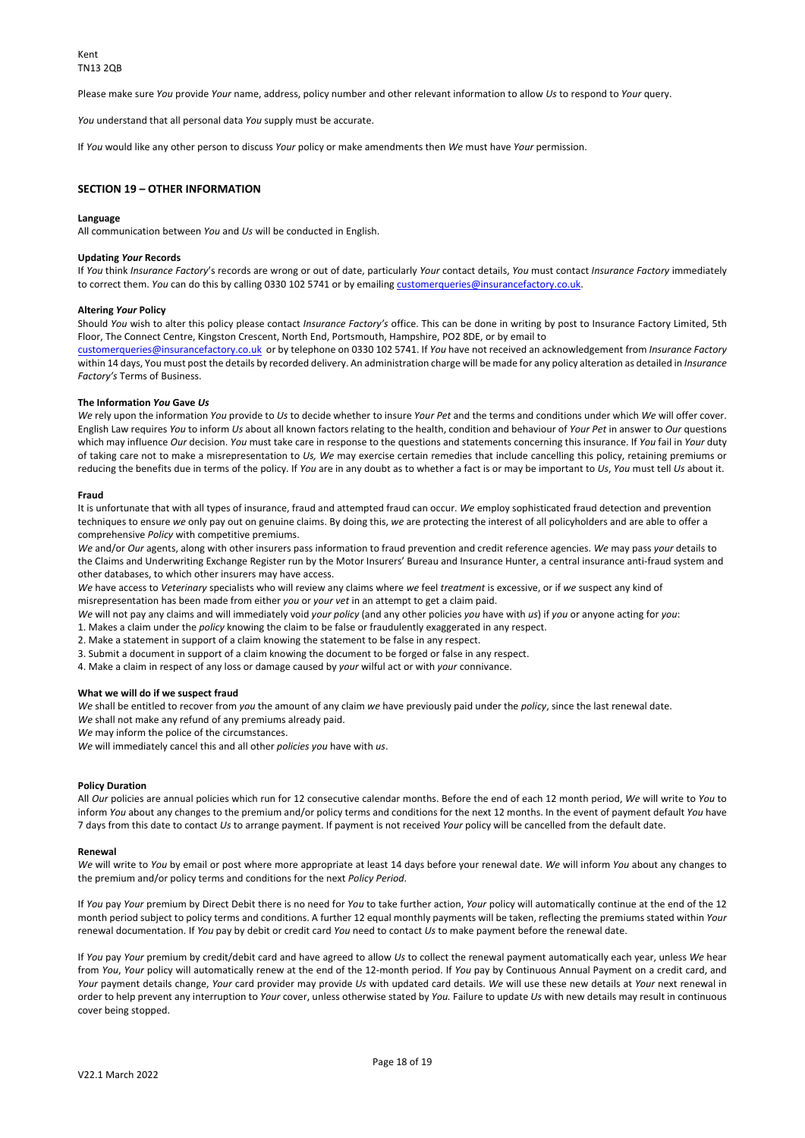Please make sure *You* provide *Your* name, address, policy number and other relevant information to allow *Us* to respond to *Your* query.

*You* understand that all personal data *You* supply must be accurate.

If *You* would like any other person to discuss *Your* policy or make amendments then *We* must have *Your* permission.

# **SECTION 19 – OTHER INFORMATION**

#### **Language**

All communication between *You* and *Us* will be conducted in English.

#### **Updating** *Your* **Records**

If *You* think *Insurance Factory*'s records are wrong or out of date, particularly *Your* contact details, *You* must contact *Insurance Factory* immediately to correct them. *You* can do this by calling 0330 102 5741 or by emailing customerqueries@insurancefactory.co.uk.

#### **Altering** *Your* **Policy**

Should *You* wish to alter this policy please contact *Insurance Factory's* office. This can be done in writing by post to Insurance Factory Limited, 5th Floor, The Connect Centre, Kingston Crescent, North End, Portsmouth, Hampshire, PO2 8DE, or by email to

[customerqueries@insurancefactory.co.uk](mailto:customerqueries@insurancefactory.co.uk) or by telephone on 0330 102 5741. If *You* have not received an acknowledgement from *Insurance Factory*  within 14 days, You must post the details by recorded delivery. An administration charge will be made for any policy alteration as detailed in *Insurance Factory's* Terms of Business.

#### **The Information** *You* **Gave** *Us*

*We* rely upon the information *You* provide to *Us* to decide whether to insure *Your Pet* and the terms and conditions under which *We* will offer cover. English Law requires *You* to inform *Us* about all known factors relating to the health, condition and behaviour of *Your Pet* in answer to *Our* questions which may influence *Our* decision. *You* must take care in response to the questions and statements concerning this insurance. If *You* fail in *Your* duty of taking care not to make a misrepresentation to *Us, We* may exercise certain remedies that include cancelling this policy, retaining premiums or reducing the benefits due in terms of the policy. If *You* are in any doubt as to whether a fact is or may be important to *Us*, *You* must tell *Us* about it.

#### **Fraud**

It is unfortunate that with all types of insurance, fraud and attempted fraud can occur. *We* employ sophisticated fraud detection and prevention techniques to ensure *we* only pay out on genuine claims. By doing this, *we* are protecting the interest of all policyholders and are able to offer a comprehensive *Policy* with competitive premiums.

*We* and/or *Our* agents, along with other insurers pass information to fraud prevention and credit reference agencies. *We* may pass *your* details to the Claims and Underwriting Exchange Register run by the Motor Insurers' Bureau and Insurance Hunter, a central insurance anti-fraud system and other databases, to which other insurers may have access.

*We* have access to *Veterinary* specialists who will review any claims where *we* feel *treatment* is excessive, or if *we* suspect any kind of misrepresentation has been made from either *you* or *your vet* in an attempt to get a claim paid.

*We* will not pay any claims and will immediately void *your policy* (and any other policies *you* have with *us*) if *you* or anyone acting for *you*:

1. Makes a claim under the *policy* knowing the claim to be false or fraudulently exaggerated in any respect.

2. Make a statement in support of a claim knowing the statement to be false in any respect.

3. Submit a document in support of a claim knowing the document to be forged or false in any respect. 4. Make a claim in respect of any loss or damage caused by *your* wilful act or with *your* connivance.

### **What we will do if we suspect fraud**

*We* shall be entitled to recover from *you* the amount of any claim *we* have previously paid under the *policy*, since the last renewal date. *We* shall not make any refund of any premiums already paid.

*We* may inform the police of the circumstances.

*We* will immediately cancel this and all other *policies you* have with *us*.

#### **Policy Duration**

All *Our* policies are annual policies which run for 12 consecutive calendar months. Before the end of each 12 month period, *We* will write to *You* to inform *You* about any changes to the premium and/or policy terms and conditions for the next 12 months. In the event of payment default *You* have 7 days from this date to contact *Us* to arrange payment. If payment is not received *Your* policy will be cancelled from the default date.

#### **Renewal**

*We* will write to *You* by email or post where more appropriate at least 14 days before your renewal date. *We* will inform *You* about any changes to the premium and/or policy terms and conditions for the next *Policy Period*.

If *You* pay *Your* premium by Direct Debit there is no need for *You* to take further action, *Your* policy will automatically continue at the end of the 12 month period subject to policy terms and conditions. A further 12 equal monthly payments will be taken, reflecting the premiums stated within *Your*  renewal documentation. If *You* pay by debit or credit card *You* need to contact *Us* to make payment before the renewal date.

If *You* pay *Your* premium by credit/debit card and have agreed to allow *Us* to collect the renewal payment automatically each year, unless *We* hear from *You*, *Your* policy will automatically renew at the end of the 12-month period. If *You* pay by Continuous Annual Payment on a credit card, and *Your* payment details change, *Your* card provider may provide *Us* with updated card details. *We* will use these new details at *Your* next renewal in order to help prevent any interruption to *Your* cover, unless otherwise stated by *You.* Failure to update *Us* with new details may result in continuous cover being stopped.